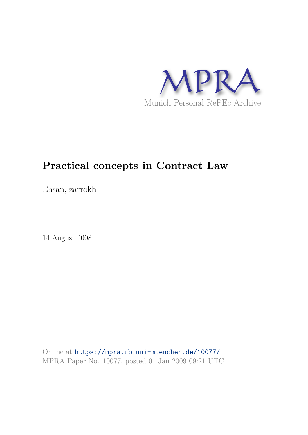

# **Practical concepts in Contract Law**

Ehsan, zarrokh

14 August 2008

Online at https://mpra.ub.uni-muenchen.de/10077/ MPRA Paper No. 10077, posted 01 Jan 2009 09:21 UTC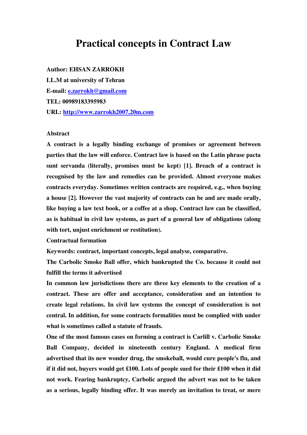# **Practical concepts in Contract Law**

# **Author: EHSAN ZARROKH**

**LL.M at university of Tehran E-mail: e.zarrokh@gmail.com TEL: 00989183395983 URL: http://www.zarrokh2007.20m.com** 

# **Abstract**

**A contract is a legally binding exchange of promises or agreement between parties that the law will enforce. Contract law is based on the Latin phrase pacta sunt servanda (literally, promises must be kept) [1]. Breach of a contract is recognised by the law and remedies can be provided. Almost everyone makes contracts everyday. Sometimes written contracts are required, e.g., when buying a house [2]. However the vast majority of contracts can be and are made orally, like buying a law text book, or a coffee at a shop. Contract law can be classified, as is habitual in civil law systems, as part of a general law of obligations (along with tort, unjust enrichment or restitution).** 

**Contractual formation** 

**Keywords: contract, important concepts, legal analyse, comparative.** 

**The Carbolic Smoke Ball offer, which bankrupted the Co. because it could not fulfill the terms it advertised** 

**In common law jurisdictions there are three key elements to the creation of a contract. These are offer and acceptance, consideration and an intention to create legal relations. In civil law systems the concept of consideration is not central. In addition, for some contracts formalities must be complied with under what is sometimes called a statute of frauds.** 

**One of the most famous cases on forming a contract is Carlill v. Carbolic Smoke Ball Company, decided in nineteenth century England. A medical firm advertised that its new wonder drug, the smokeball, would cure people's flu, and if it did not, buyers would get £100. Lots of people sued for their £100 when it did not work. Fearing bankruptcy, Carbolic argued the advert was not to be taken as a serious, legally binding offer. It was merely an invitation to treat, or mere**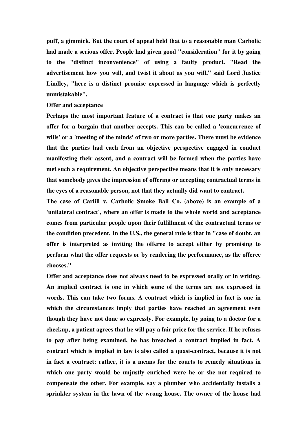**puff, a gimmick. But the court of appeal held that to a reasonable man Carbolic had made a serious offer. People had given good "consideration" for it by going to the "distinct inconvenience" of using a faulty product. "Read the advertisement how you will, and twist it about as you will," said Lord Justice Lindley, "here is a distinct promise expressed in language which is perfectly unmistakable".** 

#### **Offer and acceptance**

**Perhaps the most important feature of a contract is that one party makes an offer for a bargain that another accepts. This can be called a 'concurrence of wills' or a 'meeting of the minds' of two or more parties. There must be evidence that the parties had each from an objective perspective engaged in conduct manifesting their assent, and a contract will be formed when the parties have met such a requirement. An objective perspective means that it is only necessary that somebody gives the impression of offering or accepting contractual terms in the eyes of a reasonable person, not that they actually did want to contract.** 

**The case of Carlill v. Carbolic Smoke Ball Co. (above) is an example of a 'unilateral contract', where an offer is made to the whole world and acceptance comes from particular people upon their fulfillment of the contractual terms or the condition precedent. In the U.S., the general rule is that in "case of doubt, an offer is interpreted as inviting the offeree to accept either by promising to perform what the offer requests or by rendering the performance, as the offeree chooses."** 

**Offer and acceptance does not always need to be expressed orally or in writing. An implied contract is one in which some of the terms are not expressed in words. This can take two forms. A contract which is implied in fact is one in which the circumstances imply that parties have reached an agreement even though they have not done so expressly. For example, by going to a doctor for a checkup, a patient agrees that he will pay a fair price for the service. If he refuses to pay after being examined, he has breached a contract implied in fact. A contract which is implied in law is also called a quasi-contract, because it is not in fact a contract; rather, it is a means for the courts to remedy situations in which one party would be unjustly enriched were he or she not required to compensate the other. For example, say a plumber who accidentally installs a sprinkler system in the lawn of the wrong house. The owner of the house had**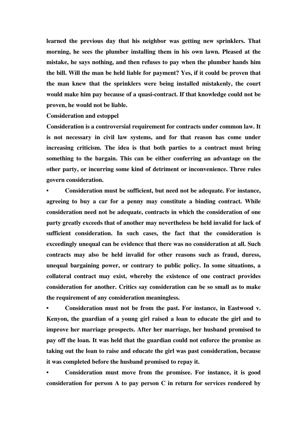**learned the previous day that his neighbor was getting new sprinklers. That morning, he sees the plumber installing them in his own lawn. Pleased at the mistake, he says nothing, and then refuses to pay when the plumber hands him the bill. Will the man be held liable for payment? Yes, if it could be proven that the man knew that the sprinklers were being installed mistakenly, the court would make him pay because of a quasi-contract. If that knowledge could not be proven, he would not be liable.** 

**Consideration and estoppel** 

**Consideration is a controversial requirement for contracts under common law. It is not necessary in civil law systems, and for that reason has come under increasing criticism. The idea is that both parties to a contract must bring something to the bargain. This can be either conferring an advantage on the other party, or incurring some kind of detriment or inconvenience. Three rules govern consideration.** 

**• Consideration must be sufficient, but need not be adequate. For instance, agreeing to buy a car for a penny may constitute a binding contract. While consideration need not be adequate, contracts in which the consideration of one party greatly exceeds that of another may nevertheless be held invalid for lack of sufficient consideration. In such cases, the fact that the consideration is exceedingly unequal can be evidence that there was no consideration at all. Such contracts may also be held invalid for other reasons such as fraud, duress, unequal bargaining power, or contrary to public policy. In some situations, a collateral contract may exist, whereby the existence of one contract provides consideration for another. Critics say consideration can be so small as to make the requirement of any consideration meaningless.** 

**• Consideration must not be from the past. For instance, in Eastwood v. Kenyon, the guardian of a young girl raised a loan to educate the girl and to improve her marriage prospects. After her marriage, her husband promised to pay off the loan. It was held that the guardian could not enforce the promise as taking out the loan to raise and educate the girl was past consideration, because it was completed before the husband promised to repay it.** 

**• Consideration must move from the promisee. For instance, it is good consideration for person A to pay person C in return for services rendered by**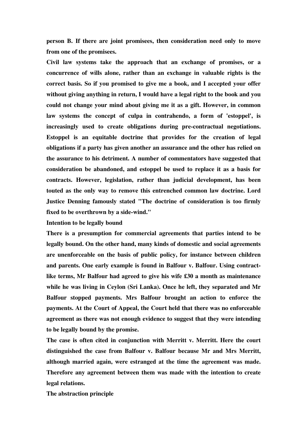**person B. If there are joint promisees, then consideration need only to move from one of the promisees.** 

**Civil law systems take the approach that an exchange of promises, or a concurrence of wills alone, rather than an exchange in valuable rights is the correct basis. So if you promised to give me a book, and I accepted your offer without giving anything in return, I would have a legal right to the book and you could not change your mind about giving me it as a gift. However, in common law systems the concept of culpa in contrahendo, a form of 'estoppel', is increasingly used to create obligations during pre-contractual negotiations. Estoppel is an equitable doctrine that provides for the creation of legal obligations if a party has given another an assurance and the other has relied on the assurance to his detriment. A number of commentators have suggested that consideration be abandoned, and estoppel be used to replace it as a basis for contracts. However, legislation, rather than judicial development, has been touted as the only way to remove this entrenched common law doctrine. Lord Justice Denning famously stated "The doctrine of consideration is too firmly fixed to be overthrown by a side-wind."** 

#### **Intention to be legally bound**

**There is a presumption for commercial agreements that parties intend to be legally bound. On the other hand, many kinds of domestic and social agreements are unenforceable on the basis of public policy, for instance between children and parents. One early example is found in Balfour v. Balfour. Using contractlike terms, Mr Balfour had agreed to give his wife £30 a month as maintenance while he was living in Ceylon (Sri Lanka). Once he left, they separated and Mr Balfour stopped payments. Mrs Balfour brought an action to enforce the payments. At the Court of Appeal, the Court held that there was no enforceable agreement as there was not enough evidence to suggest that they were intending to be legally bound by the promise.** 

**The case is often cited in conjunction with Merritt v. Merritt. Here the court distinguished the case from Balfour v. Balfour because Mr and Mrs Merritt, although married again, were estranged at the time the agreement was made. Therefore any agreement between them was made with the intention to create legal relations.** 

**The abstraction principle**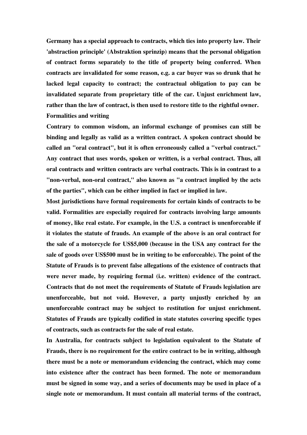**Germany has a special approach to contracts, which ties into property law. Their 'abstraction principle' (Abstraktion sprinzip) means that the personal obligation of contract forms separately to the title of property being conferred. When contracts are invalidated for some reason, e.g. a car buyer was so drunk that he lacked legal capacity to contract; the contractual obligation to pay can be invalidated separate from proprietary title of the car. Unjust enrichment law, rather than the law of contract, is then used to restore title to the rightful owner. Formalities and writing** 

**Contrary to common wisdom, an informal exchange of promises can still be binding and legally as valid as a written contract. A spoken contract should be called an "oral contract", but it is often erroneously called a "verbal contract." Any contract that uses words, spoken or written, is a verbal contract. Thus, all oral contracts and written contracts are verbal contracts. This is in contrast to a "non-verbal, non-oral contract," also known as "a contract implied by the acts of the parties", which can be either implied in fact or implied in law.** 

**Most jurisdictions have formal requirements for certain kinds of contracts to be valid. Formalities are especially required for contracts involving large amounts of money, like real estate. For example, in the U.S. a contract is unenforceable if it violates the statute of frauds. An example of the above is an oral contract for the sale of a motorcycle for US\$5,000 (because in the USA any contract for the sale of goods over US\$500 must be in writing to be enforceable). The point of the Statute of Frauds is to prevent false allegations of the existence of contracts that were never made, by requiring formal (i.e. written) evidence of the contract. Contracts that do not meet the requirements of Statute of Frauds legislation are unenforceable, but not void. However, a party unjustly enriched by an unenforceable contract may be subject to restitution for unjust enrichment. Statutes of Frauds are typically codified in state statutes covering specific types of contracts, such as contracts for the sale of real estate.** 

**In Australia, for contracts subject to legislation equivalent to the Statute of Frauds, there is no requirement for the entire contract to be in writing, although there must be a note or memorandum evidencing the contract, which may come into existence after the contract has been formed. The note or memorandum must be signed in some way, and a series of documents may be used in place of a single note or memorandum. It must contain all material terms of the contract,**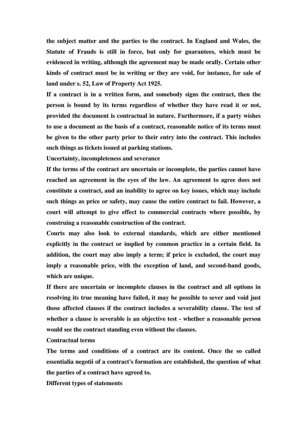**the subject matter and the parties to the contract. In England and Wales, the Statute of Frauds is still in force, but only for guarantees, which must be evidenced in writing, although the agreement may be made orally. Certain other kinds of contract must be in writing or they are void, for instance, for sale of land under s. 52, Law of Property Act 1925.** 

**If a contract is in a written form, and somebody signs the contract, then the person is bound by its terms regardless of whether they have read it or not, provided the document is contractual in nature. Furthermore, if a party wishes to use a document as the basis of a contract, reasonable notice of its terms must be given to the other party prior to their entry into the contract. This includes such things as tickets issued at parking stations.** 

**Uncertainty, incompleteness and severance** 

**If the terms of the contract are uncertain or incomplete, the parties cannot have reached an agreement in the eyes of the law. An agreement to agree does not constitute a contract, and an inability to agree on key issues, which may include such things as price or safety, may cause the entire contract to fail. However, a court will attempt to give effect to commercial contracts where possible, by construing a reasonable construction of the contract.** 

**Courts may also look to external standards, which are either mentioned explicitly in the contract or implied by common practice in a certain field. In addition, the court may also imply a term; if price is excluded, the court may imply a reasonable price, with the exception of land, and second-hand goods, which are unique.** 

**If there are uncertain or incomplete clauses in the contract and all options in resolving its true meaning have failed, it may be possible to sever and void just those affected clauses if the contract includes a severability clause. The test of whether a clause is severable is an objective test - whether a reasonable person would see the contract standing even without the clauses.** 

**Contractual terms** 

**The terms and conditions of a contract are its content. Once the so called essentialia negotii of a contract's formation are established, the question of what the parties of a contract have agreed to.** 

**Different types of statements**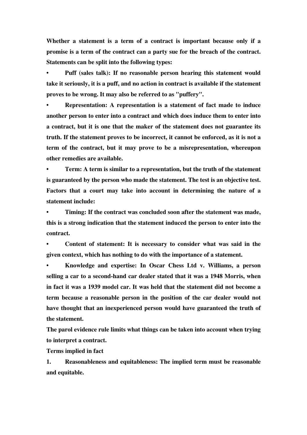**Whether a statement is a term of a contract is important because only if a promise is a term of the contract can a party sue for the breach of the contract. Statements can be split into the following types:** 

Puff (sales talk): If no reasonable person hearing this statement would **take it seriously, it is a puff, and no action in contract is available if the statement proves to be wrong. It may also be referred to as "puffery".** 

**• Representation: A representation is a statement of fact made to induce another person to enter into a contract and which does induce them to enter into a contract, but it is one that the maker of the statement does not guarantee its truth. If the statement proves to be incorrect, it cannot be enforced, as it is not a term of the contract, but it may prove to be a misrepresentation, whereupon other remedies are available.** 

**• Term: A term is similar to a representation, but the truth of the statement is guaranteed by the person who made the statement. The test is an objective test. Factors that a court may take into account in determining the nature of a statement include:** 

**• Timing: If the contract was concluded soon after the statement was made, this is a strong indication that the statement induced the person to enter into the contract.** 

**• Content of statement: It is necessary to consider what was said in the given context, which has nothing to do with the importance of a statement.** 

**• Knowledge and expertise: In Oscar Chess Ltd v. Williams, a person selling a car to a second-hand car dealer stated that it was a 1948 Morris, when in fact it was a 1939 model car. It was held that the statement did not become a term because a reasonable person in the position of the car dealer would not have thought that an inexperienced person would have guaranteed the truth of the statement.** 

**The parol evidence rule limits what things can be taken into account when trying to interpret a contract.** 

**Terms implied in fact** 

**1. Reasonableness and equitableness: The implied term must be reasonable and equitable.**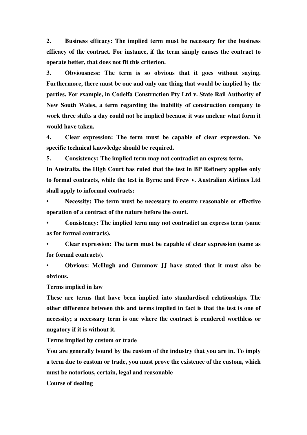**2. Business efficacy: The implied term must be necessary for the business efficacy of the contract. For instance, if the term simply causes the contract to operate better, that does not fit this criterion.** 

**3. Obviousness: The term is so obvious that it goes without saying. Furthermore, there must be one and only one thing that would be implied by the parties. For example, in Codelfa Construction Pty Ltd v. State Rail Authority of New South Wales, a term regarding the inability of construction company to work three shifts a day could not be implied because it was unclear what form it would have taken.** 

**4. Clear expression: The term must be capable of clear expression. No specific technical knowledge should be required.** 

**5. Consistency: The implied term may not contradict an express term.** 

**In Australia, the High Court has ruled that the test in BP Refinery applies only to formal contracts, while the test in Byrne and Frew v. Australian Airlines Ltd shall apply to informal contracts:** 

**• Necessity: The term must be necessary to ensure reasonable or effective operation of a contract of the nature before the court.** 

**• Consistency: The implied term may not contradict an express term (same as for formal contracts).** 

**• Clear expression: The term must be capable of clear expression (same as for formal contracts).** 

**• Obvious: McHugh and Gummow JJ have stated that it must also be obvious.** 

**Terms implied in law** 

**These are terms that have been implied into standardised relationships. The other difference between this and terms implied in fact is that the test is one of necessity; a necessary term is one where the contract is rendered worthless or nugatory if it is without it.** 

**Terms implied by custom or trade** 

**You are generally bound by the custom of the industry that you are in. To imply a term due to custom or trade, you must prove the existence of the custom, which must be notorious, certain, legal and reasonable** 

**Course of dealing**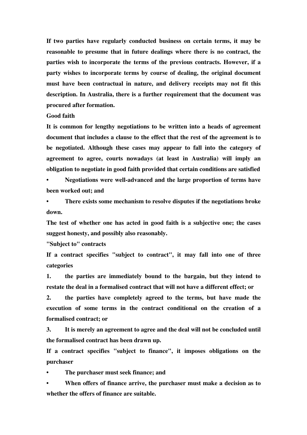**If two parties have regularly conducted business on certain terms, it may be reasonable to presume that in future dealings where there is no contract, the parties wish to incorporate the terms of the previous contracts. However, if a party wishes to incorporate terms by course of dealing, the original document must have been contractual in nature, and delivery receipts may not fit this description. In Australia, there is a further requirement that the document was procured after formation.** 

**Good faith** 

**It is common for lengthy negotiations to be written into a heads of agreement document that includes a clause to the effect that the rest of the agreement is to be negotiated. Although these cases may appear to fall into the category of agreement to agree, courts nowadays (at least in Australia) will imply an obligation to negotiate in good faith provided that certain conditions are satisfied** 

**• Negotiations were well-advanced and the large proportion of terms have been worked out; and** 

**• There exists some mechanism to resolve disputes if the negotiations broke down.** 

**The test of whether one has acted in good faith is a subjective one; the cases suggest honesty, and possibly also reasonably.** 

**"Subject to" contracts** 

**If a contract specifies "subject to contract", it may fall into one of three categories** 

**1. the parties are immediately bound to the bargain, but they intend to restate the deal in a formalised contract that will not have a different effect; or** 

**2. the parties have completely agreed to the terms, but have made the execution of some terms in the contract conditional on the creation of a formalised contract; or** 

**3. It is merely an agreement to agree and the deal will not be concluded until the formalised contract has been drawn up.** 

**If a contract specifies "subject to finance", it imposes obligations on the purchaser** 

**• The purchaser must seek finance; and** 

**• When offers of finance arrive, the purchaser must make a decision as to whether the offers of finance are suitable.**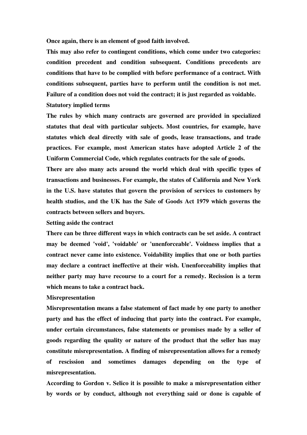**Once again, there is an element of good faith involved.** 

**This may also refer to contingent conditions, which come under two categories: condition precedent and condition subsequent. Conditions precedents are conditions that have to be complied with before performance of a contract. With conditions subsequent, parties have to perform until the condition is not met. Failure of a condition does not void the contract; it is just regarded as voidable. Statutory implied terms** 

**The rules by which many contracts are governed are provided in specialized statutes that deal with particular subjects. Most countries, for example, have statutes which deal directly with sale of goods, lease transactions, and trade practices. For example, most American states have adopted Article 2 of the Uniform Commercial Code, which regulates contracts for the sale of goods.** 

**There are also many acts around the world which deal with specific types of transactions and businesses. For example, the states of California and New York in the U.S. have statutes that govern the provision of services to customers by health studios, and the UK has the Sale of Goods Act 1979 which governs the contracts between sellers and buyers.** 

**Setting aside the contract** 

**There can be three different ways in which contracts can be set aside. A contract may be deemed 'void', 'voidable' or 'unenforceable'. Voidness implies that a contract never came into existence. Voidability implies that one or both parties may declare a contract ineffective at their wish. Unenforceability implies that neither party may have recourse to a court for a remedy. Recission is a term which means to take a contract back.** 

# **Misrepresentation**

**Misrepresentation means a false statement of fact made by one party to another party and has the effect of inducing that party into the contract. For example, under certain circumstances, false statements or promises made by a seller of goods regarding the quality or nature of the product that the seller has may constitute misrepresentation. A finding of misrepresentation allows for a remedy of rescission and sometimes damages depending on the type of misrepresentation.** 

**According to Gordon v. Selico it is possible to make a misrepresentation either by words or by conduct, although not everything said or done is capable of**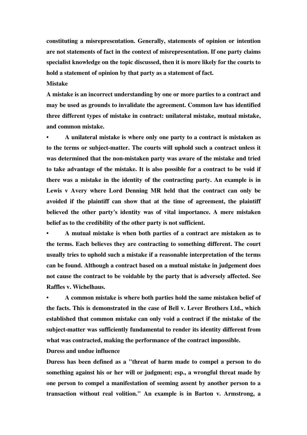**constituting a misrepresentation. Generally, statements of opinion or intention are not statements of fact in the context of misrepresentation. If one party claims specialist knowledge on the topic discussed, then it is more likely for the courts to hold a statement of opinion by that party as a statement of fact.** 

#### **Mistake**

**A mistake is an incorrect understanding by one or more parties to a contract and may be used as grounds to invalidate the agreement. Common law has identified three different types of mistake in contract: unilateral mistake, mutual mistake, and common mistake.** 

**• A unilateral mistake is where only one party to a contract is mistaken as to the terms or subject-matter. The courts will uphold such a contract unless it was determined that the non-mistaken party was aware of the mistake and tried to take advantage of the mistake. It is also possible for a contract to be void if there was a mistake in the identity of the contracting party. An example is in Lewis v Avery where Lord Denning MR held that the contract can only be avoided if the plaintiff can show that at the time of agreement, the plaintiff believed the other party's identity was of vital importance. A mere mistaken belief as to the credibility of the other party is not sufficient.** 

**• A mutual mistake is when both parties of a contract are mistaken as to the terms. Each believes they are contracting to something different. The court usually tries to uphold such a mistake if a reasonable interpretation of the terms can be found. Although a contract based on a mutual mistake in judgement does not cause the contract to be voidable by the party that is adversely affected. See Raffles v. Wichelhaus.** 

**• A common mistake is where both parties hold the same mistaken belief of the facts. This is demonstrated in the case of Bell v. Lever Brothers Ltd., which established that common mistake can only void a contract if the mistake of the subject-matter was sufficiently fundamental to render its identity different from what was contracted, making the performance of the contract impossible.** 

**Duress and undue influence** 

**Duress has been defined as a "threat of harm made to compel a person to do something against his or her will or judgment; esp., a wrongful threat made by one person to compel a manifestation of seeming assent by another person to a transaction without real volition." An example is in Barton v. Armstrong, a**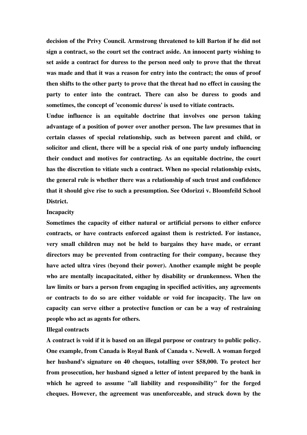**decision of the Privy Council. Armstrong threatened to kill Barton if he did not sign a contract, so the court set the contract aside. An innocent party wishing to set aside a contract for duress to the person need only to prove that the threat was made and that it was a reason for entry into the contract; the onus of proof then shifts to the other party to prove that the threat had no effect in causing the party to enter into the contract. There can also be duress to goods and sometimes, the concept of 'economic duress' is used to vitiate contracts.** 

**Undue influence is an equitable doctrine that involves one person taking advantage of a position of power over another person. The law presumes that in certain classes of special relationship, such as between parent and child, or solicitor and client, there will be a special risk of one party unduly influencing their conduct and motives for contracting. As an equitable doctrine, the court has the discretion to vitiate such a contract. When no special relationship exists, the general rule is whether there was a relationship of such trust and confidence that it should give rise to such a presumption. See Odorizzi v. Bloomfeild School District.** 

#### **Incapacity**

**Sometimes the capacity of either natural or artificial persons to either enforce contracts, or have contracts enforced against them is restricted. For instance, very small children may not be held to bargains they have made, or errant directors may be prevented from contracting for their company, because they have acted ultra vires (beyond their power). Another example might be people who are mentally incapacitated, either by disability or drunkenness. When the law limits or bars a person from engaging in specified activities, any agreements or contracts to do so are either voidable or void for incapacity. The law on capacity can serve either a protective function or can be a way of restraining people who act as agents for others.** 

# **Illegal contracts**

**A contract is void if it is based on an illegal purpose or contrary to public policy. One example, from Canada is Royal Bank of Canada v. Newell. A woman forged her husband's signature on 40 cheques, totalling over \$58,000. To protect her from prosecution, her husband signed a letter of intent prepared by the bank in which he agreed to assume "all liability and responsibility" for the forged cheques. However, the agreement was unenforceable, and struck down by the**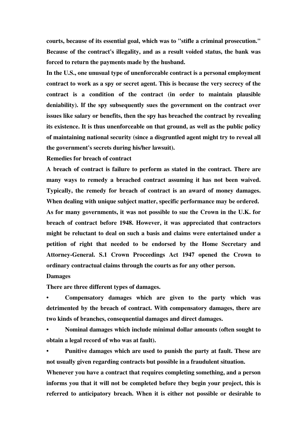**courts, because of its essential goal, which was to "stifle a criminal prosecution." Because of the contract's illegality, and as a result voided status, the bank was forced to return the payments made by the husband.** 

**In the U.S., one unusual type of unenforceable contract is a personal employment contract to work as a spy or secret agent. This is because the very secrecy of the contract is a condition of the contract (in order to maintain plausible deniability). If the spy subsequently sues the government on the contract over issues like salary or benefits, then the spy has breached the contract by revealing its existence. It is thus unenforceable on that ground, as well as the public policy of maintaining national security (since a disgruntled agent might try to reveal all the government's secrets during his/her lawsuit).** 

**Remedies for breach of contract** 

**A breach of contract is failure to perform as stated in the contract. There are many ways to remedy a breached contract assuming it has not been waived. Typically, the remedy for breach of contract is an award of money damages. When dealing with unique subject matter, specific performance may be ordered. As for many governments, it was not possible to sue the Crown in the U.K. for breach of contract before 1948. However, it was appreciated that contractors might be reluctant to deal on such a basis and claims were entertained under a petition of right that needed to be endorsed by the Home Secretary and Attorney-General. S.1 Crown Proceedings Act 1947 opened the Crown to ordinary contractual claims through the courts as for any other person.** 

**Damages** 

**There are three different types of damages.** 

**• Compensatory damages which are given to the party which was detrimented by the breach of contract. With compensatory damages, there are two kinds of branches, consequential damages and direct damages.** 

**• Nominal damages which include minimal dollar amounts (often sought to obtain a legal record of who was at fault).** 

**• Punitive damages which are used to punish the party at fault. These are not usually given regarding contracts but possible in a fraudulent situation.** 

**Whenever you have a contract that requires completing something, and a person informs you that it will not be completed before they begin your project, this is referred to anticipatory breach. When it is either not possible or desirable to**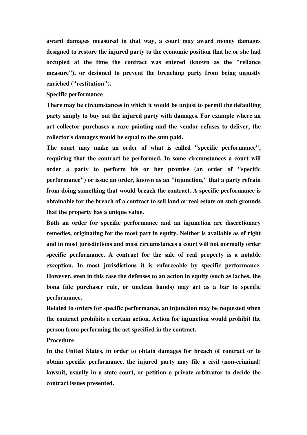**award damages measured in that way, a court may award money damages designed to restore the injured party to the economic position that he or she had occupied at the time the contract was entered (known as the "reliance measure"), or designed to prevent the breaching party from being unjustly enriched ("restitution").** 

#### **Specific performance**

**There may be circumstances in which it would be unjust to permit the defaulting party simply to buy out the injured party with damages. For example where an art collector purchases a rare painting and the vendor refuses to deliver, the collector's damages would be equal to the sum paid.** 

**The court may make an order of what is called "specific performance", requiring that the contract be performed. In some circumstances a court will order a party to perform his or her promise (an order of "specific performance") or issue an order, known as an "injunction," that a party refrain from doing something that would breach the contract. A specific performance is obtainable for the breach of a contract to sell land or real estate on such grounds that the property has a unique value.** 

**Both an order for specific performance and an injunction are discretionary remedies, originating for the most part in equity. Neither is available as of right and in most jurisdictions and most circumstances a court will not normally order specific performance. A contract for the sale of real property is a notable exception. In most jurisdictions it is enforceable by specific performance. However, even in this case the defenses to an action in equity (such as laches, the bona fide purchaser rule, or unclean hands) may act as a bar to specific performance.** 

**Related to orders for specific performance, an injunction may be requested when the contract prohibits a certain action. Action for injunction would prohibit the person from performing the act specified in the contract.** 

# **Procedure**

**In the United States, in order to obtain damages for breach of contract or to obtain specific performance, the injured party may file a civil (non-criminal) lawsuit, usually in a state court, or petition a private arbitrator to decide the contract issues presented.**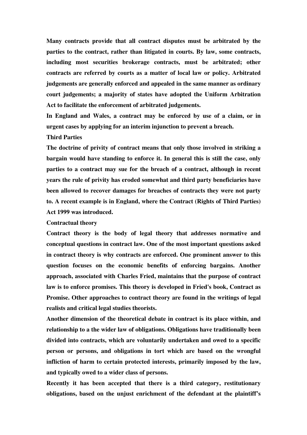**Many contracts provide that all contract disputes must be arbitrated by the parties to the contract, rather than litigated in courts. By law, some contracts, including most securities brokerage contracts, must be arbitrated; other contracts are referred by courts as a matter of local law or policy. Arbitrated judgements are generally enforced and appealed in the same manner as ordinary court judgements; a majority of states have adopted the Uniform Arbitration Act to facilitate the enforcement of arbitrated judgements.** 

**In England and Wales, a contract may be enforced by use of a claim, or in urgent cases by applying for an interim injunction to prevent a breach.** 

#### **Third Parties**

**The doctrine of privity of contract means that only those involved in striking a bargain would have standing to enforce it. In general this is still the case, only parties to a contract may sue for the breach of a contract, although in recent years the rule of privity has eroded somewhat and third party beneficiaries have been allowed to recover damages for breaches of contracts they were not party to. A recent example is in England, where the Contract (Rights of Third Parties) Act 1999 was introduced.** 

#### **Contractual theory**

**Contract theory is the body of legal theory that addresses normative and conceptual questions in contract law. One of the most important questions asked in contract theory is why contracts are enforced. One prominent answer to this question focuses on the economic benefits of enforcing bargains. Another approach, associated with Charles Fried, maintains that the purpose of contract law is to enforce promises. This theory is developed in Fried's book, Contract as Promise. Other approaches to contract theory are found in the writings of legal realists and critical legal studies theorists.** 

**Another dimension of the theoretical debate in contract is its place within, and relationship to a the wider law of obligations. Obligations have traditionally been divided into contracts, which are voluntarily undertaken and owed to a specific person or persons, and obligations in tort which are based on the wrongful infliction of harm to certain protected interests, primarily imposed by the law, and typically owed to a wider class of persons.** 

**Recently it has been accepted that there is a third category, restitutionary obligations, based on the unjust enrichment of the defendant at the plaintiff's**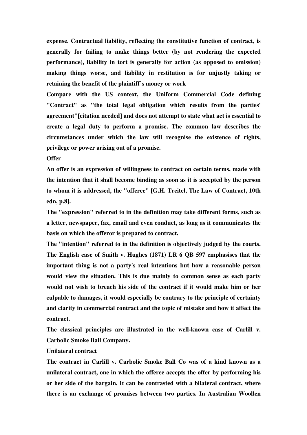**expense. Contractual liability, reflecting the constitutive function of contract, is generally for failing to make things better (by not rendering the expected performance), liability in tort is generally for action (as opposed to omission) making things worse, and liability in restitution is for unjustly taking or retaining the benefit of the plaintiff's money or work** 

**Compare with the US context, the Uniform Commercial Code defining "Contract" as "the total legal obligation which results from the parties' agreement"[citation needed] and does not attempt to state what act is essential to create a legal duty to perform a promise. The common law describes the circumstances under which the law will recognise the existence of rights, privilege or power arising out of a promise.** 

**Offer** 

**An offer is an expression of willingness to contract on certain terms, made with the intention that it shall become binding as soon as it is accepted by the person to whom it is addressed, the "offeree" [G.H. Treitel, The Law of Contract, 10th edn, p.8].** 

**The "expression" referred to in the definition may take different forms, such as a letter, newspaper, fax, email and even conduct, as long as it communicates the basis on which the offeror is prepared to contract.** 

**The "intention" referred to in the definition is objectively judged by the courts. The English case of Smith v. Hughes (1871) LR 6 QB 597 emphasises that the important thing is not a party's real intentions but how a reasonable person would view the situation. This is due mainly to common sense as each party would not wish to breach his side of the contract if it would make him or her culpable to damages, it would especially be contrary to the principle of certainty and clarity in commercial contract and the topic of mistake and how it affect the contract.** 

**The classical principles are illustrated in the well-known case of Carlill v. Carbolic Smoke Ball Company.** 

**Unilateral contract** 

**The contract in Carlill v. Carbolic Smoke Ball Co was of a kind known as a unilateral contract, one in which the offeree accepts the offer by performing his or her side of the bargain. It can be contrasted with a bilateral contract, where there is an exchange of promises between two parties. In Australian Woollen**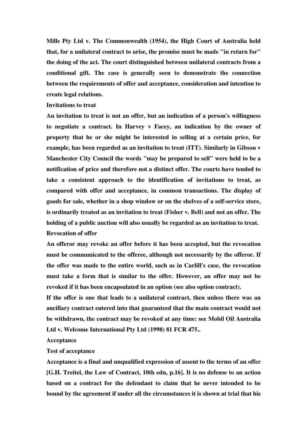**Mills Pty Ltd v. The Commonwealth (1954), the High Court of Australia held that, for a unilateral contract to arise, the promise must be made "in return for" the doing of the act. The court distinguished between unilateral contracts from a conditional gift. The case is generally seen to demonstrate the connection between the requirements of offer and acceptance, consideration and intention to create legal relations.** 

#### **Invitations to treat**

**An invitation to treat is not an offer, but an indication of a person's willingness to negotiate a contract. In Harvey v Facey, an indication by the owner of property that he or she might be interested in selling at a certain price, for example, has been regarded as an invitation to treat (ITT). Similarly in Gibson v Manchester City Council the words "may be prepared to sell" were held to be a notification of price and therefore not a distinct offer. The courts have tended to take a consistent approach to the identification of invitations to treat, as compared with offer and acceptance, in common transactions. The display of goods for sale, whether in a shop window or on the shelves of a self-service store, is ordinarily treated as an invitation to treat (Fisher v. Bell) and not an offer. The holding of a public auction will also usually be regarded as an invitation to treat. Revocation of offer** 

**An offeror may revoke an offer before it has been accepted, but the revocation must be communicated to the offeree, although not necessarily by the offeror. If the offer was made to the entire world, such as in Carlill's case, the revocation must take a form that is similar to the offer. However, an offer may not be revoked if it has been encapsulated in an option (see also option contract).** 

**If the offer is one that leads to a unilateral contract, then unless there was an ancillary contract entered into that guaranteed that the main contract would not be withdrawn, the contract may be revoked at any time: see Mobil Oil Australia Ltd v. Welcome International Pty Ltd (1998) 81 FCR 475..** 

**Acceptance** 

#### **Test of acceptance**

**Acceptance is a final and unqualified expression of assent to the terms of an offer [G.H. Treitel, the Law of Contract, 10th edn, p.16]. It is no defense to an action based on a contract for the defendant to claim that he never intended to be bound by the agreement if under all the circumstances it is shown at trial that his**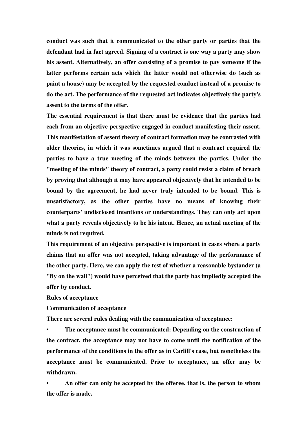**conduct was such that it communicated to the other party or parties that the defendant had in fact agreed. Signing of a contract is one way a party may show his assent. Alternatively, an offer consisting of a promise to pay someone if the latter performs certain acts which the latter would not otherwise do (such as paint a house) may be accepted by the requested conduct instead of a promise to do the act. The performance of the requested act indicates objectively the party's assent to the terms of the offer.** 

**The essential requirement is that there must be evidence that the parties had each from an objective perspective engaged in conduct manifesting their assent. This manifestation of assent theory of contract formation may be contrasted with older theories, in which it was sometimes argued that a contract required the parties to have a true meeting of the minds between the parties. Under the "meeting of the minds" theory of contract, a party could resist a claim of breach by proving that although it may have appeared objectively that he intended to be bound by the agreement, he had never truly intended to be bound. This is unsatisfactory, as the other parties have no means of knowing their counterparts' undisclosed intentions or understandings. They can only act upon what a party reveals objectively to be his intent. Hence, an actual meeting of the minds is not required.** 

**This requirement of an objective perspective is important in cases where a party claims that an offer was not accepted, taking advantage of the performance of the other party. Here, we can apply the test of whether a reasonable bystander (a "fly on the wall") would have perceived that the party has impliedly accepted the offer by conduct.** 

**Rules of acceptance** 

**Communication of acceptance** 

**There are several rules dealing with the communication of acceptance:** 

**• The acceptance must be communicated: Depending on the construction of the contract, the acceptance may not have to come until the notification of the performance of the conditions in the offer as in Carlill's case, but nonetheless the acceptance must be communicated. Prior to acceptance, an offer may be withdrawn.** 

**• An offer can only be accepted by the offeree, that is, the person to whom the offer is made.**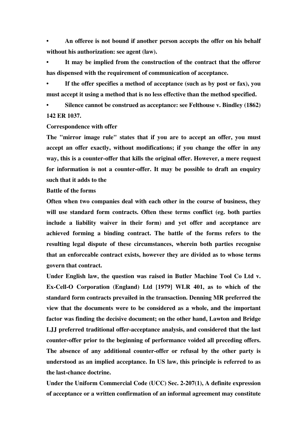**• An offeree is not bound if another person accepts the offer on his behalf without his authorization: see agent (law).** 

It may be implied from the construction of the contract that the offeror **has dispensed with the requirement of communication of acceptance.** 

**• If the offer specifies a method of acceptance (such as by post or fax), you must accept it using a method that is no less effective than the method specified.** 

**• Silence cannot be construed as acceptance: see Felthouse v. Bindley (1862) 142 ER 1037.** 

**Correspondence with offer** 

**The "mirror image rule" states that if you are to accept an offer, you must accept an offer exactly, without modifications; if you change the offer in any way, this is a counter-offer that kills the original offer. However, a mere request for information is not a counter-offer. It may be possible to draft an enquiry such that it adds to the** 

**Battle of the forms** 

**Often when two companies deal with each other in the course of business, they will use standard form contracts. Often these terms conflict (eg. both parties include a liability waiver in their form) and yet offer and acceptance are achieved forming a binding contract. The battle of the forms refers to the resulting legal dispute of these circumstances, wherein both parties recognise that an enforceable contract exists, however they are divided as to whose terms govern that contract.** 

**Under English law, the question was raised in Butler Machine Tool Co Ltd v. Ex-Cell-O Corporation (England) Ltd [1979] WLR 401, as to which of the standard form contracts prevailed in the transaction. Denning MR preferred the view that the documents were to be considered as a whole, and the important factor was finding the decisive document; on the other hand, Lawton and Bridge LJJ preferred traditional offer-acceptance analysis, and considered that the last counter-offer prior to the beginning of performance voided all preceding offers. The absence of any additional counter-offer or refusal by the other party is understood as an implied acceptance. In US law, this principle is referred to as the last-chance doctrine.** 

**Under the Uniform Commercial Code (UCC) Sec. 2-207(1), A definite expression of acceptance or a written confirmation of an informal agreement may constitute**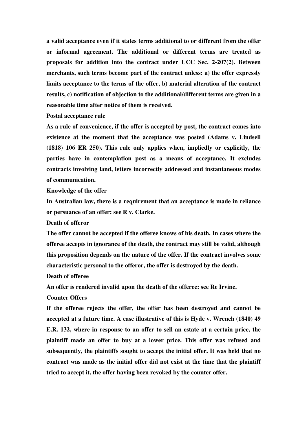**a valid acceptance even if it states terms additional to or different from the offer or informal agreement. The additional or different terms are treated as proposals for addition into the contract under UCC Sec. 2-207(2). Between merchants, such terms become part of the contract unless: a) the offer expressly limits acceptance to the terms of the offer, b) material alteration of the contract results, c) notification of objection to the additional/different terms are given in a reasonable time after notice of them is received.** 

**Postal acceptance rule** 

**As a rule of convenience, if the offer is accepted by post, the contract comes into existence at the moment that the acceptance was posted (Adams v. Lindsell (1818) 106 ER 250). This rule only applies when, impliedly or explicitly, the parties have in contemplation post as a means of acceptance. It excludes contracts involving land, letters incorrectly addressed and instantaneous modes of communication.** 

**Knowledge of the offer** 

**In Australian law, there is a requirement that an acceptance is made in reliance or persuance of an offer: see R v. Clarke.** 

**Death of offeror** 

**The offer cannot be accepted if the offeree knows of his death. In cases where the offeree accepts in ignorance of the death, the contract may still be valid, although this proposition depends on the nature of the offer. If the contract involves some characteristic personal to the offeror, the offer is destroyed by the death.** 

**Death of offeree** 

**An offer is rendered invalid upon the death of the offeree: see Re Irvine.** 

**Counter Offers** 

**If the offeree rejects the offer, the offer has been destroyed and cannot be accepted at a future time. A case illustrative of this is Hyde v. Wrench (1840) 49 E.R. 132, where in response to an offer to sell an estate at a certain price, the plaintiff made an offer to buy at a lower price. This offer was refused and subsequently, the plaintiffs sought to accept the initial offer. It was held that no contract was made as the initial offer did not exist at the time that the plaintiff tried to accept it, the offer having been revoked by the counter offer.**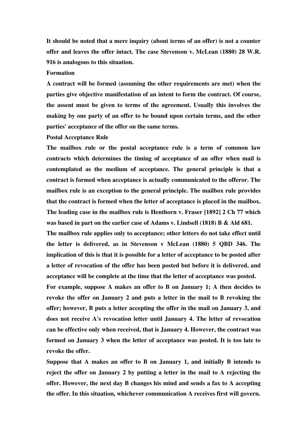**It should be noted that a mere inquiry (about terms of an offer) is not a counter offer and leaves the offer intact. The case Stevenson v. McLean (1880) 28 W.R. 916 is analogous to this situation.** 

#### **Formation**

**A contract will be formed (assuming the other requirements are met) when the parties give objective manifestation of an intent to form the contract. Of course, the assent must be given to terms of the agreement. Usually this involves the making by one party of an offer to be bound upon certain terms, and the other parties' acceptance of the offer on the same terms.** 

**Postal Acceptance Rule** 

**The mailbox rule or the postal acceptance rule is a term of common law contracts which determines the timing of acceptance of an offer when mail is contemplated as the medium of acceptance. The general principle is that a contract is formed when acceptance is actually communicated to the offeror. The mailbox rule is an exception to the general principle. The mailbox rule provides that the contract is formed when the letter of acceptance is placed in the mailbox. The leading case in the mailbox rule is Henthorn v. Fraser [1892] 2 Ch 77 which was based in part on the earlier case of Adams v. Lindsell (1818) B & Ald 681.** 

**The mailbox rule applies only to acceptance; other letters do not take effect until the letter is delivered, as in Stevenson v McLean (1880) 5 QBD 346. The implication of this is that it is possible for a letter of acceptance to be posted after a letter of revocation of the offer has been posted but before it is delivered, and acceptance will be complete at the time that the letter of acceptance was posted.** 

**For example, suppose A makes an offer to B on January 1; A then decides to revoke the offer on January 2 and puts a letter in the mail to B revoking the offer; however, B puts a letter accepting the offer in the mail on January 3, and does not receive A's revocation letter until January 4. The letter of revocation can be effective only when received, that is January 4. However, the contract was formed on January 3 when the letter of acceptance was posted. It is too late to revoke the offer.** 

**Suppose that A makes an offer to B on January 1, and initially B intends to reject the offer on January 2 by putting a letter in the mail to A rejecting the offer. However, the next day B changes his mind and sends a fax to A accepting the offer. In this situation, whichever communication A receives first will govern.**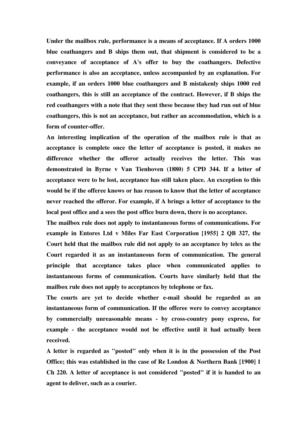**Under the mailbox rule, performance is a means of acceptance. If A orders 1000 blue coathangers and B ships them out, that shipment is considered to be a conveyance of acceptance of A's offer to buy the coathangers. Defective performance is also an acceptance, unless accompanied by an explanation. For example, if an orders 1000 blue coathangers and B mistakenly ships 1000 red coathangers, this is still an acceptance of the contract. However, if B ships the red coathangers with a note that they sent these because they had run out of blue coathangers, this is not an acceptance, but rather an accommodation, which is a form of counter-offer.** 

**An interesting implication of the operation of the mailbox rule is that as acceptance is complete once the letter of acceptance is posted, it makes no difference whether the offeror actually receives the letter. This was demonstrated in Byrne v Van Tienhoven (1880) 5 CPD 344. If a letter of acceptance were to be lost, acceptance has still taken place. An exception to this would be if the offeree knows or has reason to know that the letter of acceptance never reached the offeror. For example, if A brings a letter of acceptance to the local post office and a sees the post office burn down, there is no acceptance.** 

**The mailbox rule does not apply to instantaneous forms of communications. For example in Entores Ltd v Miles Far East Corporation [1955] 2 QB 327, the Court held that the mailbox rule did not apply to an acceptance by telex as the Court regarded it as an instantaneous form of communication. The general principle that acceptance takes place when communicated applies to instantaneous forms of communication. Courts have similarly held that the mailbox rule does not apply to acceptances by telephone or fax.** 

**The courts are yet to decide whether e-mail should be regarded as an instantaneous form of communication. If the offeree were to convey acceptance by commercially unreasonable means - by cross-country pony express, for example - the acceptance would not be effective until it had actually been received.** 

**A letter is regarded as "posted" only when it is in the possession of the Post Office; this was established in the case of Re London & Northern Bank [1900] 1 Ch 220. A letter of acceptance is not considered "posted" if it is handed to an agent to deliver, such as a courier.**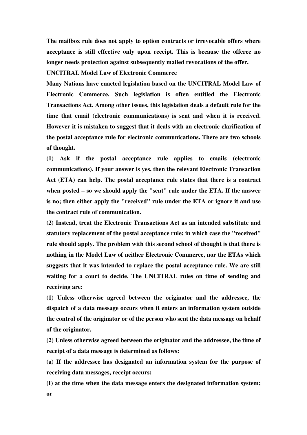**The mailbox rule does not apply to option contracts or irrevocable offers where acceptance is still effective only upon receipt. This is because the offeree no longer needs protection against subsequently mailed revocations of the offer.** 

# **UNCITRAL Model Law of Electronic Commerce**

**Many Nations have enacted legislation based on the UNCITRAL Model Law of Electronic Commerce. Such legislation is often entitled the Electronic Transactions Act. Among other issues, this legislation deals a default rule for the time that email (electronic communications) is sent and when it is received. However it is mistaken to suggest that it deals with an electronic clarification of the postal acceptance rule for electronic communications. There are two schools of thought.** 

**(1) Ask if the postal acceptance rule applies to emails (electronic communications). If your answer is yes, then the relevant Electronic Transaction Act (ETA) can help. The postal acceptance rule states that there is a contract when posted – so we should apply the "sent" rule under the ETA. If the answer is no; then either apply the "received" rule under the ETA or ignore it and use the contract rule of communication.** 

**(2) Instead, treat the Electronic Transactions Act as an intended substitute and statutory replacement of the postal acceptance rule; in which case the "received" rule should apply. The problem with this second school of thought is that there is nothing in the Model Law of neither Electronic Commerce, nor the ETAs which suggests that it was intended to replace the postal acceptance rule. We are still waiting for a court to decide. The UNCITRAL rules on time of sending and receiving are:** 

**(1) Unless otherwise agreed between the originator and the addressee, the dispatch of a data message occurs when it enters an information system outside the control of the originator or of the person who sent the data message on behalf of the originator.** 

**(2) Unless otherwise agreed between the originator and the addressee, the time of receipt of a data message is determined as follows:** 

**(a) If the addressee has designated an information system for the purpose of receiving data messages, receipt occurs:** 

**(I) at the time when the data message enters the designated information system; or**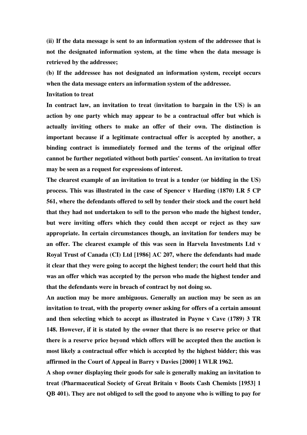**(ii) If the data message is sent to an information system of the addressee that is not the designated information system, at the time when the data message is retrieved by the addressee;** 

**(b) If the addressee has not designated an information system, receipt occurs when the data message enters an information system of the addressee.** 

**Invitation to treat** 

**In contract law, an invitation to treat (invitation to bargain in the US) is an action by one party which may appear to be a contractual offer but which is actually inviting others to make an offer of their own. The distinction is important because if a legitimate contractual offer is accepted by another, a binding contract is immediately formed and the terms of the original offer cannot be further negotiated without both parties' consent. An invitation to treat may be seen as a request for expressions of interest.** 

**The clearest example of an invitation to treat is a tender (or bidding in the US) process. This was illustrated in the case of Spencer v Harding (1870) LR 5 CP 561, where the defendants offered to sell by tender their stock and the court held that they had not undertaken to sell to the person who made the highest tender, but were inviting offers which they could then accept or reject as they saw appropriate. In certain circumstances though, an invitation for tenders may be an offer. The clearest example of this was seen in Harvela Investments Ltd v Royal Trust of Canada (CI) Ltd [1986] AC 207, where the defendants had made it clear that they were going to accept the highest tender; the court held that this was an offer which was accepted by the person who made the highest tender and that the defendants were in breach of contract by not doing so.** 

**An auction may be more ambiguous. Generally an auction may be seen as an invitation to treat, with the property owner asking for offers of a certain amount and then selecting which to accept as illustrated in Payne v Cave (1789) 3 TR 148. However, if it is stated by the owner that there is no reserve price or that there is a reserve price beyond which offers will be accepted then the auction is most likely a contractual offer which is accepted by the highest bidder; this was affirmed in the Court of Appeal in Barry v Davies [2000] 1 WLR 1962.** 

**A shop owner displaying their goods for sale is generally making an invitation to treat (Pharmaceutical Society of Great Britain v Boots Cash Chemists [1953] 1 QB 401). They are not obliged to sell the good to anyone who is willing to pay for**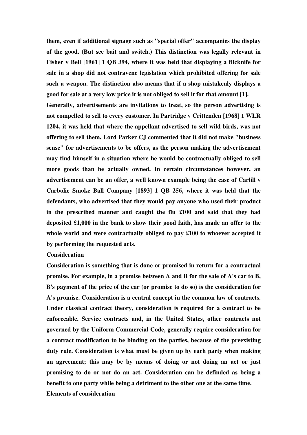**them, even if additional signage such as "special offer" accompanies the display of the good. (But see bait and switch.) This distinction was legally relevant in Fisher v Bell [1961] 1 QB 394, where it was held that displaying a flicknife for sale in a shop did not contravene legislation which prohibited offering for sale such a weapon. The distinction also means that if a shop mistakenly displays a good for sale at a very low price it is not obliged to sell it for that amount [1]. Generally, advertisements are invitations to treat, so the person advertising is** 

**not compelled to sell to every customer. In Partridge v Crittenden [1968] 1 WLR 1204, it was held that where the appellant advertised to sell wild birds, was not offering to sell them. Lord Parker CJ commented that it did not make "business sense" for advertisements to be offers, as the person making the advertisement may find himself in a situation where he would be contractually obliged to sell more goods than he actually owned. In certain circumstances however, an advertisement can be an offer, a well known example being the case of Carlill v Carbolic Smoke Ball Company [1893] 1 QB 256, where it was held that the defendants, who advertised that they would pay anyone who used their product in the prescribed manner and caught the flu £100 and said that they had deposited £1,000 in the bank to show their good faith, has made an offer to the whole world and were contractually obliged to pay £100 to whoever accepted it by performing the requested acts.** 

# **Consideration**

**Consideration is something that is done or promised in return for a contractual promise. For example, in a promise between A and B for the sale of A's car to B, B's payment of the price of the car (or promise to do so) is the consideration for A's promise. Consideration is a central concept in the common law of contracts. Under classical contract theory, consideration is required for a contract to be enforceable. Service contracts and, in the United States, other contracts not governed by the Uniform Commercial Code, generally require consideration for a contract modification to be binding on the parties, because of the preexisting duty rule. Consideration is what must be given up by each party when making an agreement; this may be by means of doing or not doing an act or just promising to do or not do an act. Consideration can be definded as being a benefit to one party while being a detriment to the other one at the same time. Elements of consideration**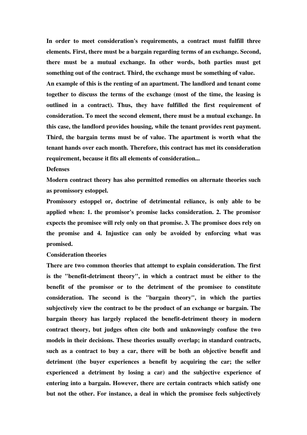**In order to meet consideration's requirements, a contract must fulfill three elements. First, there must be a bargain regarding terms of an exchange. Second, there must be a mutual exchange. In other words, both parties must get something out of the contract. Third, the exchange must be something of value. An example of this is the renting of an apartment. The landlord and tenant come together to discuss the terms of the exchange (most of the time, the leasing is outlined in a contract). Thus, they have fulfilled the first requirement of consideration. To meet the second element, there must be a mutual exchange. In this case, the landlord provides housing, while the tenant provides rent payment. Third, the bargain terms must be of value. The apartment is worth what the tenant hands over each month. Therefore, this contract has met its consideration** 

**requirement, because it fits all elements of consideration...** 

# **Defenses**

**Modern contract theory has also permitted remedies on alternate theories such as promissory estoppel.** 

**Promissory estoppel or, doctrine of detrimental reliance, is only able to be applied when: 1. the promisor's promise lacks consideration. 2. The promisor expects the promisee will rely only on that promise. 3. The promisee does rely on the promise and 4. Injustice can only be avoided by enforcing what was promised.** 

# **Consideration theories**

**There are two common theories that attempt to explain consideration. The first is the "benefit-detriment theory", in which a contract must be either to the benefit of the promisor or to the detriment of the promisee to constitute consideration. The second is the "bargain theory", in which the parties subjectively view the contract to be the product of an exchange or bargain. The bargain theory has largely replaced the benefit-detriment theory in modern contract theory, but judges often cite both and unknowingly confuse the two models in their decisions. These theories usually overlap; in standard contracts, such as a contract to buy a car, there will be both an objective benefit and detriment (the buyer experiences a benefit by acquiring the car; the seller experienced a detriment by losing a car) and the subjective experience of entering into a bargain. However, there are certain contracts which satisfy one but not the other. For instance, a deal in which the promisee feels subjectively**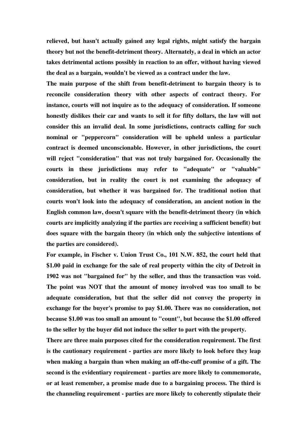**relieved, but hasn't actually gained any legal rights, might satisfy the bargain theory but not the benefit-detriment theory. Alternately, a deal in which an actor takes detrimental actions possibly in reaction to an offer, without having viewed the deal as a bargain, wouldn't be viewed as a contract under the law.** 

**The main purpose of the shift from benefit-detriment to bargain theory is to reconcile consideration theory with other aspects of contract theory. For instance, courts will not inquire as to the adequacy of consideration. If someone honestly dislikes their car and wants to sell it for fifty dollars, the law will not consider this an invalid deal. In some jurisdictions, contracts calling for such nominal or "peppercorn" consideration will be upheld unless a particular contract is deemed unconscionable. However, in other jurisdictions, the court will reject "consideration" that was not truly bargained for. Occasionally the courts in these jurisdictions may refer to "adequate" or "valuable" consideration, but in reality the court is not examining the adequacy of consideration, but whether it was bargained for. The traditional notion that courts won't look into the adequacy of consideration, an ancient notion in the English common law, doesn't square with the benefit-detriment theory (in which courts are implicitly analyzing if the parties are receiving a sufficient benefit) but does square with the bargain theory (in which only the subjective intentions of the parties are considered).** 

**For example, in Fischer v. Union Trust Co., 101 N.W. 852, the court held that \$1.00 paid in exchange for the sale of real property within the city of Detroit in 1902 was not "bargained for" by the seller, and thus the transaction was void. The point was NOT that the amount of money involved was too small to be adequate consideration, but that the seller did not convey the property in exchange for the buyer's promise to pay \$1.00. There was no consideration, not because \$1.00 was too small an amount to "count", but because the \$1.00 offered to the seller by the buyer did not induce the seller to part with the property.** 

**There are three main purposes cited for the consideration requirement. The first is the cautionary requirement - parties are more likely to look before they leap when making a bargain than when making an off-the-cuff promise of a gift. The second is the evidentiary requirement - parties are more likely to commemorate, or at least remember, a promise made due to a bargaining process. The third is the channeling requirement - parties are more likely to coherently stipulate their**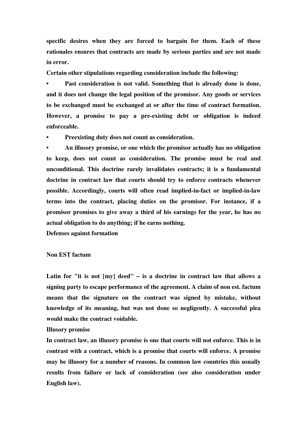**specific desires when they are forced to bargain for them. Each of these rationales ensures that contracts are made by serious parties and are not made in error.** 

**Certain other stipulations regarding consideration include the following:** 

**• Past consideration is not valid. Something that is already done is done, and it does not change the legal position of the promisor. Any goods or services to be exchanged must be exchanged at or after the time of contract formation. However, a promise to pay a pre-existing debt or obligation is indeed enforceable.** 

**• Preexisting duty does not count as consideration.** 

**• An illusory promise, or one which the promisor actually has no obligation to keep, does not count as consideration. The promise must be real and unconditional. This doctrine rarely invalidates contracts; it is a fundamental doctrine in contract law that courts should try to enforce contracts whenever possible. Accordingly, courts will often read implied-in-fact or implied-in-law terms into the contract, placing duties on the promisor. For instance, if a promisor promises to give away a third of his earnings for the year, he has no actual obligation to do anything; if he earns nothing.** 

**Defenses against formation** 

# **Non EST factum**

**Latin for "it is not [my] deed" – is a doctrine in contract law that allows a signing party to escape performance of the agreement. A claim of non est. factum means that the signature on the contract was signed by mistake, without knowledge of its meaning, but was not done so negligently. A successful plea would make the contract voidable.** 

**Illusory promise** 

**In contract law, an illusory promise is one that courts will not enforce. This is in contrast with a contract, which is a promise that courts will enforce. A promise may be illusory for a number of reasons. In common law countries this usually results from failure or lack of consideration (see also consideration under English law).**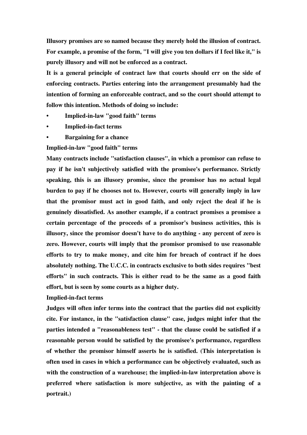**Illusory promises are so named because they merely hold the illusion of contract. For example, a promise of the form, "I will give you ten dollars if I feel like it," is purely illusory and will not be enforced as a contract.** 

**It is a general principle of contract law that courts should err on the side of enforcing contracts. Parties entering into the arrangement presumably had the intention of forming an enforceable contract, and so the court should attempt to follow this intention. Methods of doing so include:** 

- **Implied-in-law "good faith" terms**
- **Implied-in-fact terms**
- **Bargaining for a chance**

# **Implied-in-law "good faith" terms**

**Many contracts include "satisfaction clauses", in which a promisor can refuse to pay if he isn't subjectively satisfied with the promisee's performance. Strictly speaking, this is an illusory promise, since the promisor has no actual legal burden to pay if he chooses not to. However, courts will generally imply in law that the promisor must act in good faith, and only reject the deal if he is genuinely dissatisfied. As another example, if a contract promises a promisee a certain percentage of the proceeds of a promisor's business activities, this is illusory, since the promisor doesn't have to do anything - any percent of zero is zero. However, courts will imply that the promisor promised to use reasonable efforts to try to make money, and cite him for breach of contract if he does absolutely nothing. The U.C.C. in contracts exclusive to both sides requires "best efforts" in such contracts. This is either read to be the same as a good faith effort, but is seen by some courts as a higher duty.** 

# **Implied-in-fact terms**

**Judges will often infer terms into the contract that the parties did not explicitly cite. For instance, in the "satisfaction clause" case, judges might infer that the parties intended a "reasonableness test" - that the clause could be satisfied if a reasonable person would be satisfied by the promisee's performance, regardless of whether the promisor himself asserts he is satisfied. (This interpretation is often used in cases in which a performance can be objectively evaluated, such as with the construction of a warehouse; the implied-in-law interpretation above is preferred where satisfaction is more subjective, as with the painting of a portrait.)**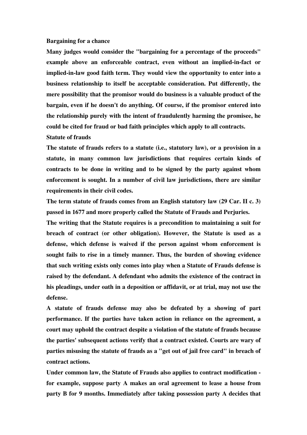#### **Bargaining for a chance**

**Many judges would consider the "bargaining for a percentage of the proceeds" example above an enforceable contract, even without an implied-in-fact or implied-in-law good faith term. They would view the opportunity to enter into a business relationship to itself be acceptable consideration. Put differently, the mere possibility that the promisor would do business is a valuable product of the bargain, even if he doesn't do anything. Of course, if the promisor entered into the relationship purely with the intent of fraudulently harming the promisee, he could be cited for fraud or bad faith principles which apply to all contracts.** 

**Statute of frauds** 

**The statute of frauds refers to a statute (i.e., statutory law), or a provision in a statute, in many common law jurisdictions that requires certain kinds of contracts to be done in writing and to be signed by the party against whom enforcement is sought. In a number of civil law jurisdictions, there are similar requirements in their civil codes.** 

**The term statute of frauds comes from an English statutory law (29 Car. II c. 3) passed in 1677 and more properly called the Statute of Frauds and Perjuries.** 

**The writing that the Statute requires is a precondition to maintaining a suit for breach of contract (or other obligation). However, the Statute is used as a defense, which defense is waived if the person against whom enforcement is sought fails to rise in a timely manner. Thus, the burden of showing evidence that such writing exists only comes into play when a Statute of Frauds defense is raised by the defendant. A defendant who admits the existence of the contract in his pleadings, under oath in a deposition or affidavit, or at trial, may not use the defense.** 

**A statute of frauds defense may also be defeated by a showing of part performance. If the parties have taken action in reliance on the agreement, a court may uphold the contract despite a violation of the statute of frauds because the parties' subsequent actions verify that a contract existed. Courts are wary of parties misusing the statute of frauds as a "get out of jail free card" in breach of contract actions.** 

**Under common law, the Statute of Frauds also applies to contract modification for example, suppose party A makes an oral agreement to lease a house from party B for 9 months. Immediately after taking possession party A decides that**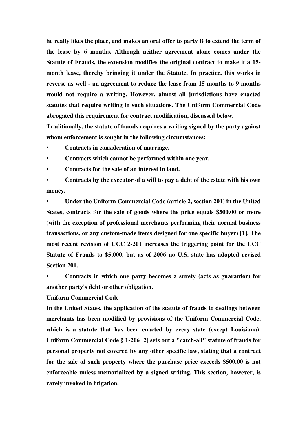**he really likes the place, and makes an oral offer to party B to extend the term of the lease by 6 months. Although neither agreement alone comes under the Statute of Frauds, the extension modifies the original contract to make it a 15 month lease, thereby bringing it under the Statute. In practice, this works in reverse as well - an agreement to reduce the lease from 15 months to 9 months would not require a writing. However, almost all jurisdictions have enacted statutes that require writing in such situations. The Uniform Commercial Code abrogated this requirement for contract modification, discussed below.** 

**Traditionally, the statute of frauds requires a writing signed by the party against whom enforcement is sought in the following circumstances:** 

- **Contracts in consideration of marriage.**
- **Contracts which cannot be performed within one year.**
- **Contracts for the sale of an interest in land.**

**• Contracts by the executor of a will to pay a debt of the estate with his own money.** 

**• Under the Uniform Commercial Code (article 2, section 201) in the United States, contracts for the sale of goods where the price equals \$500.00 or more (with the exception of professional merchants performing their normal business transactions, or any custom-made items designed for one specific buyer) [1]. The most recent revision of UCC 2-201 increases the triggering point for the UCC Statute of Frauds to \$5,000, but as of 2006 no U.S. state has adopted revised Section 201.** 

**• Contracts in which one party becomes a surety (acts as guarantor) for another party's debt or other obligation.** 

**Uniform Commercial Code** 

**In the United States, the application of the statute of frauds to dealings between merchants has been modified by provisions of the Uniform Commercial Code, which is a statute that has been enacted by every state (except Louisiana). Uniform Commercial Code § 1-206 [2] sets out a "catch-all" statute of frauds for personal property not covered by any other specific law, stating that a contract for the sale of such property where the purchase price exceeds \$500.00 is not enforceable unless memorialized by a signed writing. This section, however, is rarely invoked in litigation.**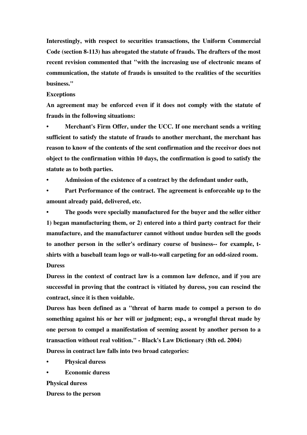**Interestingly, with respect to securities transactions, the Uniform Commercial Code (section 8-113) has abrogated the statute of frauds. The drafters of the most recent revision commented that "with the increasing use of electronic means of communication, the statute of frauds is unsuited to the realities of the securities business."** 

#### **Exceptions**

**An agreement may be enforced even if it does not comply with the statute of frauds in the following situations:** 

**• Merchant's Firm Offer, under the UCC. If one merchant sends a writing sufficient to satisfy the statute of frauds to another merchant, the merchant has reason to know of the contents of the sent confirmation and the receivor does not object to the confirmation within 10 days, the confirmation is good to satisfy the statute as to both parties.** 

**• Admission of the existence of a contract by the defendant under oath,** 

**• Part Performance of the contract. The agreement is enforceable up to the amount already paid, delivered, etc.** 

**• The goods were specially manufactured for the buyer and the seller either 1) began manufacturing them, or 2) entered into a third party contract for their manufacture, and the manufacturer cannot without undue burden sell the goods to another person in the seller's ordinary course of business-- for example, tshirts with a baseball team logo or wall-to-wall carpeting for an odd-sized room. Duress** 

**Duress in the context of contract law is a common law defence, and if you are successful in proving that the contract is vitiated by duress, you can rescind the contract, since it is then voidable.** 

**Duress has been defined as a "threat of harm made to compel a person to do something against his or her will or judgment; esp., a wrongful threat made by one person to compel a manifestation of seeming assent by another person to a transaction without real volition." - Black's Law Dictionary (8th ed. 2004) Duress in contract law falls into two broad categories:** 

**• Physical duress** 

**• Economic duress** 

**Physical duress** 

**Duress to the person**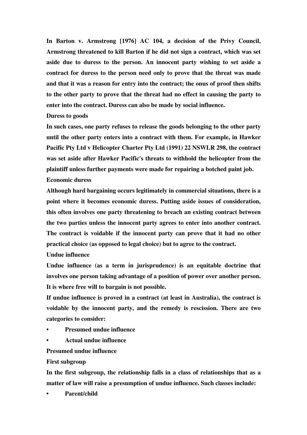**In Barton v. Armstrong [1976] AC 104, a decision of the Privy Council, Armstrong threatened to kill Barton if he did not sign a contract, which was set aside due to duress to the person. An innocent party wishing to set aside a contract for duress to the person need only to prove that the threat was made and that it was a reason for entry into the contract; the onus of proof then shifts to the other party to prove that the threat had no effect in causing the party to enter into the contract. Duress can also be made by social influence.** 

#### **Duress to goods**

**In such cases, one party refuses to release the goods belonging to the other party until the other party enters into a contract with them. For example, in Hawker Pacific Pty Ltd v Helicopter Charter Pty Ltd (1991) 22 NSWLR 298, the contract was set aside after Hawker Pacific's threats to withhold the helicopter from the plaintiff unless further payments were made for repairing a botched paint job. Economic duress** 

**Although hard bargaining occurs legitimately in commercial situations, there is a point where it becomes economic duress. Putting aside issues of consideration, this often involves one party threatening to breach an existing contract between the two parties unless the innocent party agrees to enter into another contract. The contract is voidable if the innocent party can prove that it had no other practical choice (as opposed to legal choice) but to agree to the contract.** 

# **Undue influence**

**Undue influence (as a term in jurisprudence) is an equitable doctrine that involves one person taking advantage of a position of power over another person. It is where free will to bargain is not possible.** 

**If undue influence is proved in a contract (at least in Australia), the contract is voidable by the innocent party, and the remedy is rescission. There are two categories to consider:** 

- **Presumed undue influence**
- **Actual undue influence**

**Presumed undue influence** 

# **First subgroup**

**In the first subgroup, the relationship falls in a class of relationships that as a matter of law will raise a presumption of undue influence. Such classes include:** 

**• Parent/child**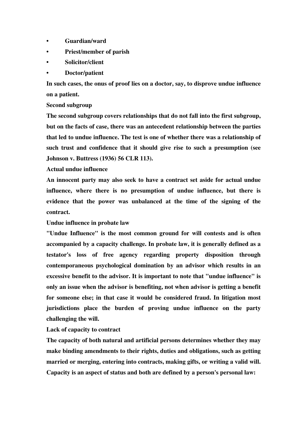- **Guardian/ward**
- **Priest/member of parish**
- **Solicitor/client**
- **Doctor/patient**

**In such cases, the onus of proof lies on a doctor, say, to disprove undue influence on a patient.** 

# **Second subgroup**

**The second subgroup covers relationships that do not fall into the first subgroup, but on the facts of case, there was an antecedent relationship between the parties that led to undue influence. The test is one of whether there was a relationship of such trust and confidence that it should give rise to such a presumption (see Johnson v. Buttress (1936) 56 CLR 113).** 

**Actual undue influence** 

**An innocent party may also seek to have a contract set aside for actual undue influence, where there is no presumption of undue influence, but there is evidence that the power was unbalanced at the time of the signing of the contract.** 

**Undue influence in probate law** 

**"Undue Influence" is the most common ground for will contests and is often accompanied by a capacity challenge. In probate law, it is generally defined as a testator's loss of free agency regarding property disposition through contemporaneous psychological domination by an advisor which results in an excessive benefit to the advisor. It is important to note that "undue influence" is only an issue when the advisor is benefiting, not when advisor is getting a benefit for someone else; in that case it would be considered fraud. In litigation most jurisdictions place the burden of proving undue influence on the party challenging the will.** 

**Lack of capacity to contract** 

**The capacity of both natural and artificial persons determines whether they may make binding amendments to their rights, duties and obligations, such as getting married or merging, entering into contracts, making gifts, or writing a valid will. Capacity is an aspect of status and both are defined by a person's personal law:**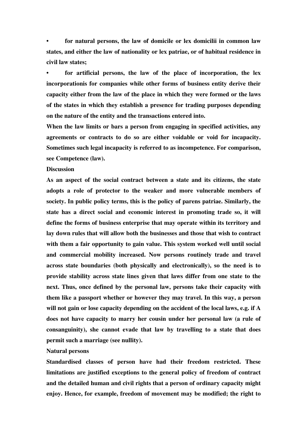**• for natural persons, the law of domicile or lex domicilii in common law states, and either the law of nationality or lex patriae, or of habitual residence in civil law states;** 

**• for artificial persons, the law of the place of incorporation, the lex incorporationis for companies while other forms of business entity derive their capacity either from the law of the place in which they were formed or the laws of the states in which they establish a presence for trading purposes depending on the nature of the entity and the transactions entered into.** 

**When the law limits or bars a person from engaging in specified activities, any agreements or contracts to do so are either voidable or void for incapacity. Sometimes such legal incapacity is referred to as incompetence. For comparison, see Competence (law).** 

#### **Discussion**

**As an aspect of the social contract between a state and its citizens, the state adopts a role of protector to the weaker and more vulnerable members of society. In public policy terms, this is the policy of parens patriae. Similarly, the state has a direct social and economic interest in promoting trade so, it will define the forms of business enterprise that may operate within its territory and lay down rules that will allow both the businesses and those that wish to contract with them a fair opportunity to gain value. This system worked well until social and commercial mobility increased. Now persons routinely trade and travel across state boundaries (both physically and electronically), so the need is to provide stability across state lines given that laws differ from one state to the next. Thus, once defined by the personal law, persons take their capacity with them like a passport whether or however they may travel. In this way, a person will not gain or lose capacity depending on the accident of the local laws, e.g. if A does not have capacity to marry her cousin under her personal law (a rule of consanguinity), she cannot evade that law by travelling to a state that does permit such a marriage (see nullity).** 

#### **Natural persons**

**Standardised classes of person have had their freedom restricted. These limitations are justified exceptions to the general policy of freedom of contract and the detailed human and civil rights that a person of ordinary capacity might enjoy. Hence, for example, freedom of movement may be modified; the right to**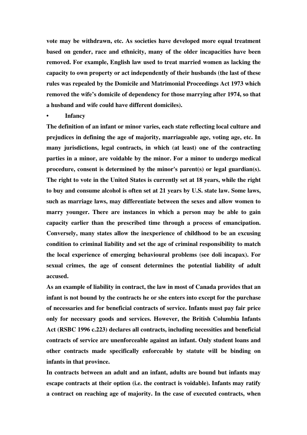**vote may be withdrawn, etc. As societies have developed more equal treatment based on gender, race and ethnicity, many of the older incapacities have been removed. For example, English law used to treat married women as lacking the capacity to own property or act independently of their husbands (the last of these rules was repealed by the Domicile and Matrimonial Proceedings Act 1973 which removed the wife's domicile of dependency for those marrying after 1974, so that a husband and wife could have different domiciles).** 

**• Infancy** 

**The definition of an infant or minor varies, each state reflecting local culture and prejudices in defining the age of majority, marriageable age, voting age, etc. In many jurisdictions, legal contracts, in which (at least) one of the contracting parties in a minor, are voidable by the minor. For a minor to undergo medical procedure, consent is determined by the minor's parent(s) or legal guardian(s). The right to vote in the United States is currently set at 18 years, while the right to buy and consume alcohol is often set at 21 years by U.S. state law. Some laws, such as marriage laws, may differentiate between the sexes and allow women to marry younger. There are instances in which a person may be able to gain capacity earlier than the prescribed time through a process of emancipation. Conversely, many states allow the inexperience of childhood to be an excusing condition to criminal liability and set the age of criminal responsibility to match the local experience of emerging behavioural problems (see doli incapax). For sexual crimes, the age of consent determines the potential liability of adult accused.** 

**As an example of liability in contract, the law in most of Canada provides that an infant is not bound by the contracts he or she enters into except for the purchase of necessaries and for beneficial contracts of service. Infants must pay fair price only for necessary goods and services. However, the British Columbia Infants Act (RSBC 1996 c.223) declares all contracts, including necessities and beneficial contracts of service are unenforceable against an infant. Only student loans and other contracts made specifically enforceable by statute will be binding on infants in that province.** 

**In contracts between an adult and an infant, adults are bound but infants may escape contracts at their option (i.e. the contract is voidable). Infants may ratify a contract on reaching age of majority. In the case of executed contracts, when**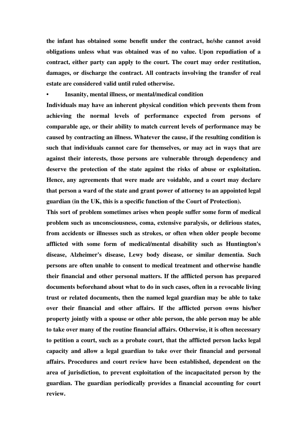**the infant has obtained some benefit under the contract, he/she cannot avoid obligations unless what was obtained was of no value. Upon repudiation of a contract, either party can apply to the court. The court may order restitution, damages, or discharge the contract. All contracts involving the transfer of real estate are considered valid until ruled otherwise.** 

## **• Insanity, mental illness, or mental/medical condition**

**Individuals may have an inherent physical condition which prevents them from achieving the normal levels of performance expected from persons of comparable age, or their ability to match current levels of performance may be caused by contracting an illness. Whatever the cause, if the resulting condition is such that individuals cannot care for themselves, or may act in ways that are against their interests, those persons are vulnerable through dependency and deserve the protection of the state against the risks of abuse or exploitation. Hence, any agreements that were made are voidable, and a court may declare that person a ward of the state and grant power of attorney to an appointed legal guardian (in the UK, this is a specific function of the Court of Protection).** 

**This sort of problem sometimes arises when people suffer some form of medical problem such as unconsciousness, coma, extensive paralysis, or delirious states, from accidents or illnesses such as strokes, or often when older people become afflicted with some form of medical/mental disability such as Huntington's disease, Alzheimer's disease, Lewy body disease, or similar dementia. Such persons are often unable to consent to medical treatment and otherwise handle their financial and other personal matters. If the afflicted person has prepared documents beforehand about what to do in such cases, often in a revocable living trust or related documents, then the named legal guardian may be able to take over their financial and other affairs. If the afflicted person owns his/her property jointly with a spouse or other able person, the able person may be able to take over many of the routine financial affairs. Otherwise, it is often necessary to petition a court, such as a probate court, that the afflicted person lacks legal capacity and allow a legal guardian to take over their financial and personal affairs. Procedures and court review have been established, dependent on the area of jurisdiction, to prevent exploitation of the incapacitated person by the guardian. The guardian periodically provides a financial accounting for court review.**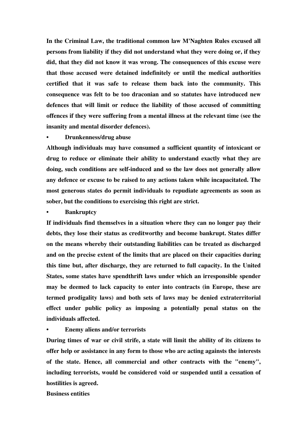**In the Criminal Law, the traditional common law M'Naghten Rules excused all persons from liability if they did not understand what they were doing or, if they did, that they did not know it was wrong. The consequences of this excuse were that those accused were detained indefinitely or until the medical authorities certified that it was safe to release them back into the community. This consequence was felt to be too draconian and so statutes have introduced new defences that will limit or reduce the liability of those accused of committing offences if they were suffering from a mental illness at the relevant time (see the insanity and mental disorder defences).** 

### **• Drunkenness/drug abuse**

**Although individuals may have consumed a sufficient quantity of intoxicant or drug to reduce or eliminate their ability to understand exactly what they are doing, such conditions are self-induced and so the law does not generally allow any defence or excuse to be raised to any actions taken while incapacitated. The most generous states do permit individuals to repudiate agreements as soon as sober, but the conditions to exercising this right are strict.** 

#### **• Bankruptcy**

**If individuals find themselves in a situation where they can no longer pay their debts, they lose their status as creditworthy and become bankrupt. States differ on the means whereby their outstanding liabilities can be treated as discharged and on the precise extent of the limits that are placed on their capacities during this time but, after discharge, they are returned to full capacity. In the United States, some states have spendthrift laws under which an irresponsible spender may be deemed to lack capacity to enter into contracts (in Europe, these are termed prodigality laws) and both sets of laws may be denied extraterritorial effect under public policy as imposing a potentially penal status on the individuals affected.** 

## **• Enemy aliens and/or terrorists**

**During times of war or civil strife, a state will limit the ability of its citizens to offer help or assistance in any form to those who are acting againsts the interests of the state. Hence, all commercial and other contracts with the "enemy", including terrorists, would be considered void or suspended until a cessation of hostilities is agreed.** 

# **Business entities**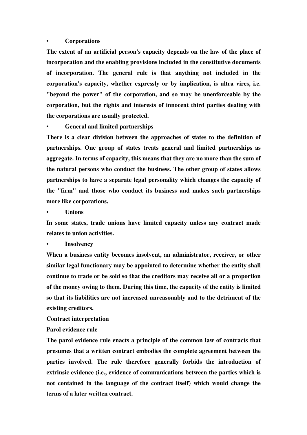### **• Corporations**

**The extent of an artificial person's capacity depends on the law of the place of incorporation and the enabling provisions included in the constitutive documents of incorporation. The general rule is that anything not included in the corporation's capacity, whether expressly or by implication, is ultra vires, i.e. "beyond the power" of the corporation, and so may be unenforceable by the corporation, but the rights and interests of innocent third parties dealing with the corporations are usually protected.** 

## **• General and limited partnerships**

**There is a clear division between the approaches of states to the definition of partnerships. One group of states treats general and limited partnerships as aggregate. In terms of capacity, this means that they are no more than the sum of the natural persons who conduct the business. The other group of states allows partnerships to have a separate legal personality which changes the capacity of the "firm" and those who conduct its business and makes such partnerships more like corporations.** 

## **• Unions**

**In some states, trade unions have limited capacity unless any contract made relates to union activities.** 

#### **• Insolvency**

**When a business entity becomes insolvent, an administrator, receiver, or other similar legal functionary may be appointed to determine whether the entity shall continue to trade or be sold so that the creditors may receive all or a proportion of the money owing to them. During this time, the capacity of the entity is limited so that its liabilities are not increased unreasonably and to the detriment of the existing creditors.** 

## **Contract interpretation**

**Parol evidence rule** 

**The parol evidence rule enacts a principle of the common law of contracts that presumes that a written contract embodies the complete agreement between the parties involved. The rule therefore generally forbids the introduction of extrinsic evidence (i.e., evidence of communications between the parties which is not contained in the language of the contract itself) which would change the terms of a later written contract.**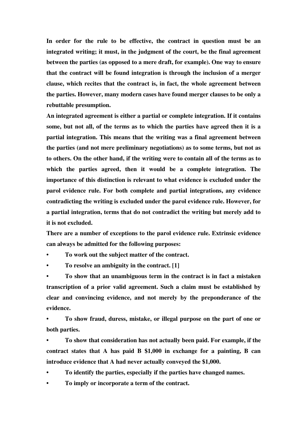**In order for the rule to be effective, the contract in question must be an integrated writing; it must, in the judgment of the court, be the final agreement between the parties (as opposed to a mere draft, for example). One way to ensure that the contract will be found integration is through the inclusion of a merger clause, which recites that the contract is, in fact, the whole agreement between the parties. However, many modern cases have found merger clauses to be only a rebuttable presumption.** 

**An integrated agreement is either a partial or complete integration. If it contains some, but not all, of the terms as to which the parties have agreed then it is a partial integration. This means that the writing was a final agreement between the parties (and not mere preliminary negotiations) as to some terms, but not as to others. On the other hand, if the writing were to contain all of the terms as to which the parties agreed, then it would be a complete integration. The importance of this distinction is relevant to what evidence is excluded under the parol evidence rule. For both complete and partial integrations, any evidence contradicting the writing is excluded under the parol evidence rule. However, for a partial integration, terms that do not contradict the writing but merely add to it is not excluded.** 

**There are a number of exceptions to the parol evidence rule. Extrinsic evidence can always be admitted for the following purposes:** 

**• To work out the subject matter of the contract.** 

**• To resolve an ambiguity in the contract. [1]** 

**• To show that an unambiguous term in the contract is in fact a mistaken transcription of a prior valid agreement. Such a claim must be established by clear and convincing evidence, and not merely by the preponderance of the evidence.** 

**• To show fraud, duress, mistake, or illegal purpose on the part of one or both parties.** 

**• To show that consideration has not actually been paid. For example, if the contract states that A has paid B \$1,000 in exchange for a painting, B can introduce evidence that A had never actually conveyed the \$1,000.** 

**• To identify the parties, especially if the parties have changed names.** 

**• To imply or incorporate a term of the contract.**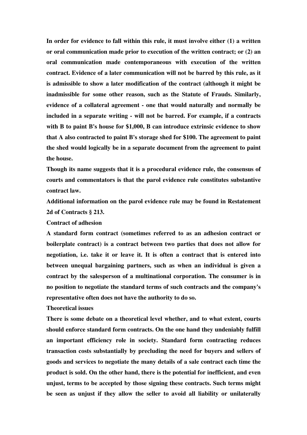**In order for evidence to fall within this rule, it must involve either (1) a written or oral communication made prior to execution of the written contract; or (2) an oral communication made contemporaneous with execution of the written contract. Evidence of a later communication will not be barred by this rule, as it is admissible to show a later modification of the contract (although it might be inadmissible for some other reason, such as the Statute of Frauds. Similarly, evidence of a collateral agreement - one that would naturally and normally be included in a separate writing - will not be barred. For example, if a contracts with B to paint B's house for \$1,000, B can introduce extrinsic evidence to show that A also contracted to paint B's storage shed for \$100. The agreement to paint the shed would logically be in a separate document from the agreement to paint the house.** 

**Though its name suggests that it is a procedural evidence rule, the consensus of courts and commentators is that the parol evidence rule constitutes substantive contract law.** 

**Additional information on the parol evidence rule may be found in Restatement 2d of Contracts § 213.** 

## **Contract of adhesion**

**A standard form contract (sometimes referred to as an adhesion contract or boilerplate contract) is a contract between two parties that does not allow for negotiation, i.e. take it or leave it. It is often a contract that is entered into between unequal bargaining partners, such as when an individual is given a contract by the salesperson of a multinational corporation. The consumer is in no position to negotiate the standard terms of such contracts and the company's representative often does not have the authority to do so.** 

## **Theoretical issues**

**There is some debate on a theoretical level whether, and to what extent, courts should enforce standard form contracts. On the one hand they undeniably fulfill an important efficiency role in society. Standard form contracting reduces transaction costs substantially by precluding the need for buyers and sellers of goods and services to negotiate the many details of a sale contract each time the product is sold. On the other hand, there is the potential for inefficient, and even unjust, terms to be accepted by those signing these contracts. Such terms might be seen as unjust if they allow the seller to avoid all liability or unilaterally**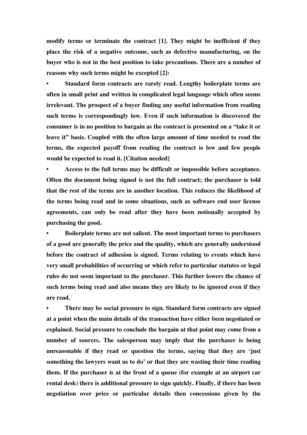**modify terms or terminate the contract [1]. They might be inefficient if they place the risk of a negative outcome, such as defective manufacturing, on the buyer who is not in the best position to take precautions. There are a number of reasons why such terms might be excepted [2]:** 

**• Standard form contracts are rarely read. Lengthy boilerplate terms are often in small print and written in complicated legal language which often seems irrelevant. The prospect of a buyer finding any useful information from reading such terms is correspondingly low. Even if such information is discovered the consumer is in no position to bargain as the contract is presented on a "take it or leave it" basis. Coupled with the often large amount of time needed to read the terms, the expected payoff from reading the contract is low and few people would be expected to read it. [Citation needed]** 

**• Access to the full terms may be difficult or impossible before acceptance. Often the document being signed is not the full contract; the purchaser is told that the rest of the terms are in another location. This reduces the likelihood of the terms being read and in some situations, such as software end user license agreements, can only be read after they have been notionally accepted by purchasing the good.** 

**• Boilerplate terms are not salient. The most important terms to purchasers of a good are generally the price and the quality, which are generally understood before the contract of adhesion is signed. Terms relating to events which have very small probabilities of occurring or which refer to particular statutes or legal rules do not seem important to the purchaser. This further lowers the chance of such terms being read and also means they are likely to be ignored even if they are read.** 

**• There may be social pressure to sign. Standard form contracts are signed at a point when the main details of the transaction have either been negotiated or explained. Social pressure to conclude the bargain at that point may come from a number of sources. The salesperson may imply that the purchaser is being unreasonable if they read or question the terms, saying that they are 'just something the lawyers want us to do' or that they are wasting their time reading them. If the purchaser is at the front of a queue (for example at an airport car rental desk) there is additional pressure to sign quickly. Finally, if there has been negotiation over price or particular details then concessions given by the**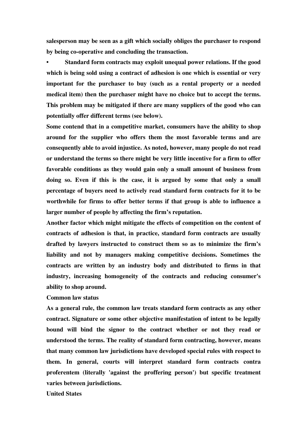**salesperson may be seen as a gift which socially obliges the purchaser to respond by being co-operative and concluding the transaction.** 

**• Standard form contracts may exploit unequal power relations. If the good which is being sold using a contract of adhesion is one which is essential or very important for the purchaser to buy (such as a rental property or a needed medical item) then the purchaser might have no choice but to accept the terms. This problem may be mitigated if there are many suppliers of the good who can potentially offer different terms (see below).** 

**Some contend that in a competitive market, consumers have the ability to shop around for the supplier who offers them the most favorable terms and are consequently able to avoid injustice. As noted, however, many people do not read or understand the terms so there might be very little incentive for a firm to offer favorable conditions as they would gain only a small amount of business from doing so. Even if this is the case, it is argued by some that only a small percentage of buyers need to actively read standard form contracts for it to be worthwhile for firms to offer better terms if that group is able to influence a larger number of people by affecting the firm's reputation.** 

**Another factor which might mitigate the effects of competition on the content of contracts of adhesion is that, in practice, standard form contracts are usually drafted by lawyers instructed to construct them so as to minimize the firm's liability and not by managers making competitive decisions. Sometimes the contracts are written by an industry body and distributed to firms in that industry, increasing homogeneity of the contracts and reducing consumer's ability to shop around.** 

## **Common law status**

**As a general rule, the common law treats standard form contracts as any other contract. Signature or some other objective manifestation of intent to be legally bound will bind the signor to the contract whether or not they read or understood the terms. The reality of standard form contracting, however, means that many common law jurisdictions have developed special rules with respect to them. In general, courts will interpret standard form contracts contra proferentem (literally 'against the proffering person') but specific treatment varies between jurisdictions.** 

**United States**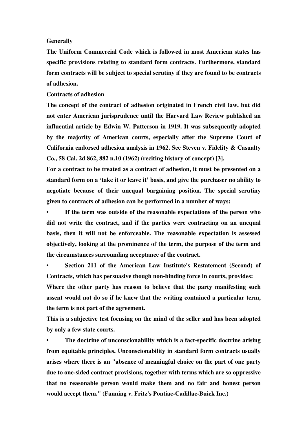## **Generally**

**The Uniform Commercial Code which is followed in most American states has specific provisions relating to standard form contracts. Furthermore, standard form contracts will be subject to special scrutiny if they are found to be contracts of adhesion.** 

## **Contracts of adhesion**

**The concept of the contract of adhesion originated in French civil law, but did not enter American jurisprudence until the Harvard Law Review published an influential article by Edwin W. Patterson in 1919. It was subsequently adopted by the majority of American courts, especially after the Supreme Court of California endorsed adhesion analysis in 1962. See Steven v. Fidelity & Casualty Co., 58 Cal. 2d 862, 882 n.10 (1962) (reciting history of concept) [3].** 

**For a contract to be treated as a contract of adhesion, it must be presented on a standard form on a 'take it or leave it' basis, and give the purchaser no ability to negotiate because of their unequal bargaining position. The special scrutiny given to contracts of adhesion can be performed in a number of ways:** 

**• If the term was outside of the reasonable expectations of the person who did not write the contract, and if the parties were contracting on an unequal basis, then it will not be enforceable. The reasonable expectation is assessed objectively, looking at the prominence of the term, the purpose of the term and the circumstances surrounding acceptance of the contract.** 

**• Section 211 of the American Law Institute's Restatement (Second) of Contracts, which has persuasive though non-binding force in courts, provides: Where the other party has reason to believe that the party manifesting such assent would not do so if he knew that the writing contained a particular term,** 

**This is a subjective test focusing on the mind of the seller and has been adopted by only a few state courts.** 

**the term is not part of the agreement.** 

**• The doctrine of unconscionability which is a fact-specific doctrine arising from equitable principles. Unconscionability in standard form contracts usually arises where there is an "absence of meaningful choice on the part of one party due to one-sided contract provisions, together with terms which are so oppressive that no reasonable person would make them and no fair and honest person would accept them." (Fanning v. Fritz's Pontiac-Cadillac-Buick Inc.)**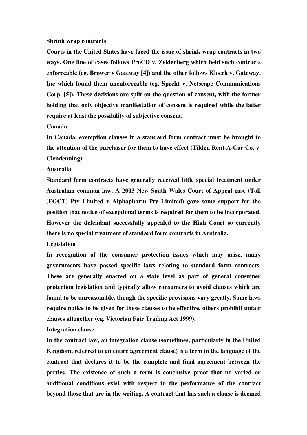## **Shrink wrap contracts**

**Courts in the United States have faced the issue of shrink wrap contracts in two ways. One line of cases follows ProCD v. Zeidenberg which held such contracts enforceable (eg. Brower v Gateway [4]) and the other follows Klocek v. Gateway, Inc which found them unenforceable (eg. Specht v. Netscape Communications Corp. [5]). These decisions are split on the question of consent, with the former holding that only objective manifestation of consent is required while the latter require at least the possibility of subjective consent.** 

## **Canada**

**In Canada, exemption clauses in a standard form contract must be brought to the attention of the purchaser for them to have effect (Tilden Rent-A-Car Co. v. Clendenning).** 

### **Australia**

**Standard form contracts have generally received little special treatment under Australian common law. A 2003 New South Wales Court of Appeal case (Toll (FGCT) Pty Limited v Alphapharm Pty Limited) gave some support for the position that notice of exceptional terms is required for them to be incorporated. However the defendant successfully appealed to the High Court so currently there is no special treatment of standard form contracts in Australia.** 

#### **Legislation**

**In recognition of the consumer protection issues which may arise, many governments have passed specific laws relating to standard form contracts. These are generally enacted on a state level as part of general consumer protection legislation and typically allow consumers to avoid clauses which are found to be unreasonable, though the specific provisions vary greatly. Some laws require notice to be given for these clauses to be effective, others prohibit unfair clauses altogether (eg. Victorian Fair Trading Act 1999).** 

**Integration clause** 

**In the contract law, an integration clause (sometimes, particularly in the United Kingdom, referred to an entire agreement clause) is a term in the language of the contract that declares it to be the complete and final agreement between the parties. The existence of such a term is conclusive proof that no varied or additional conditions exist with respect to the performance of the contract beyond those that are in the writing. A contract that has such a clause is deemed**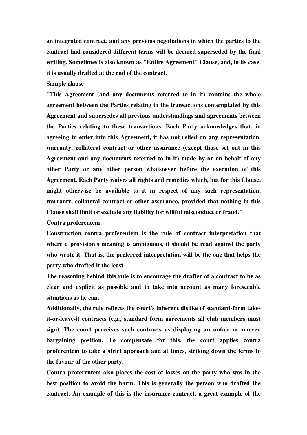**an integrated contract, and any previous negotiations in which the parties to the contract had considered different terms will be deemed superseded by the final writing. Sometimes is also known as "Entire Agreement" Clause, and, in its case, it is usually drafted at the end of the contract.** 

#### **Sample clause**

**"This Agreement (and any documents referred to in it) contains the whole agreement between the Parties relating to the transactions contemplated by this Agreement and supersedes all previous understandings and agreements between the Parties relating to these transactions. Each Party acknowledges that, in agreeing to enter into this Agreement, it has not relied on any representation, warranty, collateral contract or other assurance (except those set out in this Agreement and any documents referred to in it) made by or on behalf of any other Party or any other person whatsoever before the execution of this Agreement. Each Party waives all rights and remedies which, but for this Clause, might otherwise be available to it in respect of any such representation, warranty, collateral contract or other assurance, provided that nothing in this Clause shall limit or exclude any liability for willful misconduct or fraud."** 

## **Contra proferentem**

**Construction contra proferentem is the rule of contract interpretation that where a provision's meaning is ambiguous, it should be read against the party who wrote it. That is, the preferred interpretation will be the one that helps the party who drafted it the least.** 

**The reasoning behind this rule is to encourage the drafter of a contract to be as clear and explicit as possible and to take into account as many foreseeable situations as he can.** 

**Additionally, the rule reflects the court's inherent dislike of standard-form takeit-or-leave-it contracts (e.g., standard form agreements all club members must sign). The court perceives such contracts as displaying an unfair or uneven bargaining position. To compensate for this, the court applies contra proferentem to take a strict approach and at times, striking down the terms to the favour of the other party.** 

**Contra proferentem also places the cost of losses on the party who was in the best position to avoid the harm. This is generally the person who drafted the contract. An example of this is the insurance contract, a great example of the**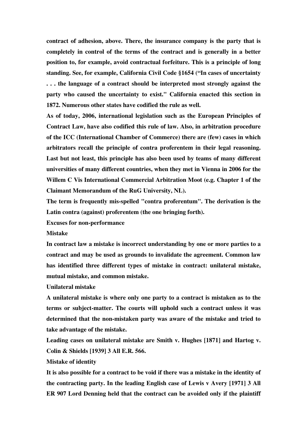**contract of adhesion, above. There, the insurance company is the party that is completely in control of the terms of the contract and is generally in a better position to, for example, avoid contractual forfeiture. This is a principle of long standing. See, for example, California Civil Code §1654 ("In cases of uncertainty . . . the language of a contract should be interpreted most strongly against the party who caused the uncertainty to exist." California enacted this section in 1872. Numerous other states have codified the rule as well.** 

**As of today, 2006, international legislation such as the European Principles of Contract Law, have also codified this rule of law. Also, in arbitration procedure of the ICC (International Chamber of Commerce) there are (few) cases in which arbitrators recall the principle of contra proferentem in their legal reasoning. Last but not least, this principle has also been used by teams of many different universities of many different countries, when they met in Vienna in 2006 for the Willem C Vis International Commercial Arbitration Moot (e.g. Chapter 1 of the Claimant Memorandum of the RuG University, NL).** 

**The term is frequently mis-spelled "contra proferentum". The derivation is the Latin contra (against) proferentem (the one bringing forth).** 

**Excuses for non-performance** 

**Mistake** 

**In contract law a mistake is incorrect understanding by one or more parties to a contract and may be used as grounds to invalidate the agreement. Common law has identified three different types of mistake in contract: unilateral mistake, mutual mistake, and common mistake.** 

**Unilateral mistake** 

**A unilateral mistake is where only one party to a contract is mistaken as to the terms or subject-matter. The courts will uphold such a contract unless it was determined that the non-mistaken party was aware of the mistake and tried to take advantage of the mistake.** 

**Leading cases on unilateral mistake are Smith v. Hughes [1871] and Hartog v. Colin & Shields [1939] 3 All E.R. 566.** 

**Mistake of identity** 

**It is also possible for a contract to be void if there was a mistake in the identity of the contracting party. In the leading English case of Lewis v Avery [1971] 3 All ER 907 Lord Denning held that the contract can be avoided only if the plaintiff**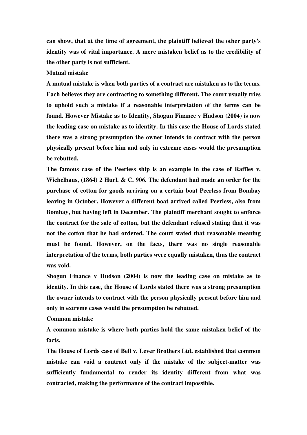**can show, that at the time of agreement, the plaintiff believed the other party's identity was of vital importance. A mere mistaken belief as to the credibility of the other party is not sufficient.** 

# **Mutual mistake**

**A mutual mistake is when both parties of a contract are mistaken as to the terms. Each believes they are contracting to something different. The court usually tries to uphold such a mistake if a reasonable interpretation of the terms can be found. However Mistake as to Identity, Shogun Finance v Hudson (2004) is now the leading case on mistake as to identity. In this case the House of Lords stated there was a strong presumption the owner intends to contract with the person physically present before him and only in extreme cases would the presumption be rebutted.** 

**The famous case of the Peerless ship is an example in the case of Raffles v. Wichelhaus, (1864) 2 Hurl. & C. 906. The defendant had made an order for the purchase of cotton for goods arriving on a certain boat Peerless from Bombay leaving in October. However a different boat arrived called Peerless, also from Bombay, but having left in December. The plaintiff merchant sought to enforce the contract for the sale of cotton, but the defendant refused stating that it was not the cotton that he had ordered. The court stated that reasonable meaning must be found. However, on the facts, there was no single reasonable interpretation of the terms, both parties were equally mistaken, thus the contract was void.** 

**Shogun Finance v Hudson (2004) is now the leading case on mistake as to identity. In this case, the House of Lords stated there was a strong presumption the owner intends to contract with the person physically present before him and only in extreme cases would the presumption be rebutted.** 

#### **Common mistake**

**A common mistake is where both parties hold the same mistaken belief of the facts.** 

**The House of Lords case of Bell v. Lever Brothers Ltd. established that common mistake can void a contract only if the mistake of the subject-matter was sufficiently fundamental to render its identity different from what was contracted, making the performance of the contract impossible.**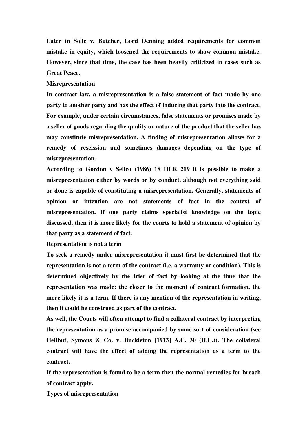**Later in Solle v. Butcher, Lord Denning added requirements for common mistake in equity, which loosened the requirements to show common mistake. However, since that time, the case has been heavily criticized in cases such as Great Peace.** 

#### **Misrepresentation**

**In contract law, a misrepresentation is a false statement of fact made by one party to another party and has the effect of inducing that party into the contract. For example, under certain circumstances, false statements or promises made by a seller of goods regarding the quality or nature of the product that the seller has may constitute misrepresentation. A finding of misrepresentation allows for a remedy of rescission and sometimes damages depending on the type of misrepresentation.** 

**According to Gordon v Selico (1986) 18 HLR 219 it is possible to make a misrepresentation either by words or by conduct, although not everything said or done is capable of constituting a misrepresentation. Generally, statements of opinion or intention are not statements of fact in the context of misrepresentation. If one party claims specialist knowledge on the topic discussed, then it is more likely for the courts to hold a statement of opinion by that party as a statement of fact.** 

**Representation is not a term** 

**To seek a remedy under misrepresentation it must first be determined that the representation is not a term of the contract (i.e. a warranty or condition). This is determined objectively by the trier of fact by looking at the time that the representation was made: the closer to the moment of contract formation, the more likely it is a term. If there is any mention of the representation in writing, then it could be construed as part of the contract.** 

**As well, the Courts will often attempt to find a collateral contract by interpreting the representation as a promise accompanied by some sort of consideration (see Heilbut, Symons & Co. v. Buckleton [1913] A.C. 30 (H.L.)). The collateral contract will have the effect of adding the representation as a term to the contract.** 

**If the representation is found to be a term then the normal remedies for breach of contract apply.** 

**Types of misrepresentation**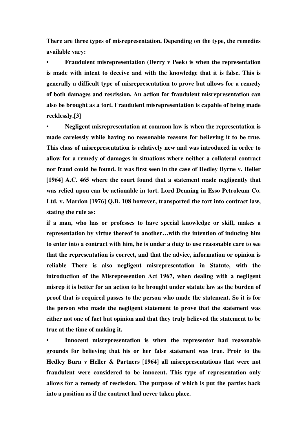**There are three types of misrepresentation. Depending on the type, the remedies available vary:** 

**• Fraudulent misrepresentation (Derry v Peek) is when the representation is made with intent to deceive and with the knowledge that it is false. This is generally a difficult type of misrepresentation to prove but allows for a remedy of both damages and rescission. An action for fraudulent misrepresentation can also be brought as a tort. Fraudulent misrepresentation is capable of being made recklessly.[3]** 

**• Negligent misrepresentation at common law is when the representation is made carelessly while having no reasonable reasons for believing it to be true. This class of misrepresentation is relatively new and was introduced in order to allow for a remedy of damages in situations where neither a collateral contract nor fraud could be found. It was first seen in the case of Hedley Byrne v. Heller [1964] A.C. 465 where the court found that a statement made negligently that was relied upon can be actionable in tort. Lord Denning in Esso Petroleum Co. Ltd. v. Mardon [1976] Q.B. 108 however, transported the tort into contract law, stating the rule as:** 

**if a man, who has or professes to have special knowledge or skill, makes a representation by virtue thereof to another…with the intention of inducing him to enter into a contract with him, he is under a duty to use reasonable care to see that the representation is correct, and that the advice, information or opinion is reliable There is also negligent misrepresentation in Statute, with the introduction of the Misrepresention Act 1967, when dealing with a negligent misrep it is better for an action to be brought under statute law as the burden of proof that is required passes to the person who made the statement. So it is for the person who made the negligent statement to prove that the statement was either not one of fact but opinion and that they truly believed the statement to be true at the time of making it.** 

**• Innocent misrepresentation is when the representor had reasonable grounds for believing that his or her false statement was true. Proir to the Hedley Burn v Heller & Partners [1964] all misrepresentations that were not fraudulent were considered to be innocent. This type of representation only allows for a remedy of rescission. The purpose of which is put the parties back into a position as if the contract had never taken place.**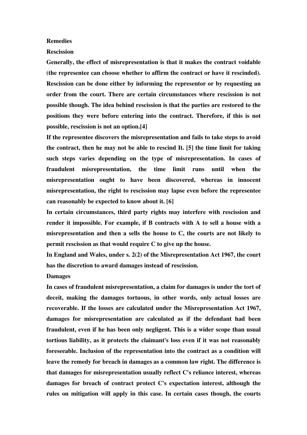#### **Remedies**

## **Rescission**

**Generally, the effect of misrepresentation is that it makes the contract voidable (the representee can choose whether to affirm the contract or have it rescinded). Rescission can be done either by informing the representor or by requesting an order from the court. There are certain circumstances where rescission is not possible though. The idea behind rescission is that the parties are restored to the positions they were before entering into the contract. Therefore, if this is not possible, rescission is not an option.[4]** 

**If the representee discovers the misrepresentation and fails to take steps to avoid the contract, then he may not be able to rescind It. [5] the time limit for taking such steps varies depending on the type of misrepresentation. In cases of fraudulent misrepresentation, the time limit runs until when the misrepresentation ought to have been discovered, whereas in innocent misrepresentation, the right to rescission may lapse even before the representee can reasonably be expected to know about it. [6]** 

**In certain circumstances, third party rights may interfere with rescission and render it impossible. For example, if B contracts with A to sell a house with a misrepresentation and then a sells the house to C, the courts are not likely to permit rescission as that would require C to give up the house.** 

**In England and Wales, under s. 2(2) of the Misrepresentation Act 1967, the court has the discretion to award damages instead of rescission.** 

## **Damages**

**In cases of fraudulent misrepresentation, a claim for damages is under the tort of deceit, making the damages tortuous, in other words, only actual losses are recoverable. If the losses are calculated under the Misrepresentation Act 1967, damages for misrepresentation are calculated as if the defendant had been fraudulent, even if he has been only negligent. This is a wider scope than usual tortious liability, as it protects the claimant's loss even if it was not reasonably foreseeable. Inclusion of the representation into the contract as a condition will leave the remedy for breach in damages as a common law right. The difference is that damages for misrepresentation usually reflect C's reliance interest, whereas damages for breach of contract protect C's expectation interest, although the rules on mitigation will apply in this case. In certain cases though, the courts**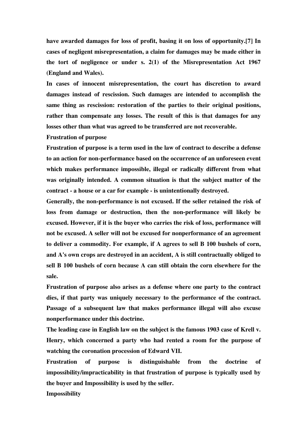**have awarded damages for loss of profit, basing it on loss of opportunity.[7] In cases of negligent misrepresentation, a claim for damages may be made either in the tort of negligence or under s. 2(1) of the Misrepresentation Act 1967 (England and Wales).** 

**In cases of innocent misrepresentation, the court has discretion to award damages instead of rescission. Such damages are intended to accomplish the same thing as rescission: restoration of the parties to their original positions, rather than compensate any losses. The result of this is that damages for any losses other than what was agreed to be transferred are not recoverable.** 

**Frustration of purpose** 

**Frustration of purpose is a term used in the law of contract to describe a defense to an action for non-performance based on the occurrence of an unforeseen event which makes performance impossible, illegal or radically different from what was originally intended. A common situation is that the subject matter of the contract - a house or a car for example - is unintentionally destroyed.** 

**Generally, the non-performance is not excused. If the seller retained the risk of loss from damage or destruction, then the non-performance will likely be excused. However, if it is the buyer who carries the risk of loss, performance will not be excused. A seller will not be excused for nonperformance of an agreement to deliver a commodity. For example, if A agrees to sell B 100 bushels of corn, and A's own crops are destroyed in an accident, A is still contractually obliged to sell B 100 bushels of corn because A can still obtain the corn elsewhere for the sale.** 

**Frustration of purpose also arises as a defense where one party to the contract dies, if that party was uniquely necessary to the performance of the contract. Passage of a subsequent law that makes performance illegal will also excuse nonperformance under this doctrine.** 

**The leading case in English law on the subject is the famous 1903 case of Krell v. Henry, which concerned a party who had rented a room for the purpose of watching the coronation procession of Edward VII.** 

**Frustration of purpose is distinguishable from the doctrine of impossibility/impracticability in that frustration of purpose is typically used by the buyer and Impossibility is used by the seller.** 

**Impossibility**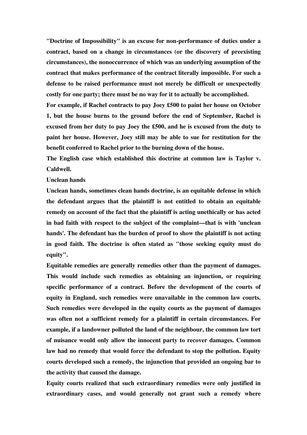**"Doctrine of Impossibility" is an excuse for non-performance of duties under a contract, based on a change in circumstances (or the discovery of preexisting circumstances), the nonoccurrence of which was an underlying assumption of the contract that makes performance of the contract literally impossible. For such a defense to be raised performance must not merely be difficult or unexpectedly costly for one party; there must be no way for it to actually be accomplished.** 

**For example, if Rachel contracts to pay Joey £500 to paint her house on October 1, but the house burns to the ground before the end of September, Rachel is excused from her duty to pay Joey the £500, and he is excused from the duty to paint her house. However, Joey still may be able to sue for restitution for the benefit conferred to Rachel prior to the burning down of the house.** 

**The English case which established this doctrine at common law is Taylor v. Caldwell.** 

# **Unclean hands**

**Unclean hands, sometimes clean hands doctrine, is an equitable defense in which the defendant argues that the plaintiff is not entitled to obtain an equitable remedy on account of the fact that the plaintiff is acting unethically or has acted in bad faith with respect to the subject of the complaint—that is with 'unclean hands'. The defendant has the burden of proof to show the plaintiff is not acting in good faith. The doctrine is often stated as "those seeking equity must do equity".** 

**Equitable remedies are generally remedies other than the payment of damages. This would include such remedies as obtaining an injunction, or requiring specific performance of a contract. Before the development of the courts of equity in England, such remedies were unavailable in the common law courts. Such remedies were developed in the equity courts as the payment of damages was often not a sufficient remedy for a plaintiff in certain circumstances. For example, if a landowner polluted the land of the neighbour, the common law tort of nuisance would only allow the innocent party to recover damages. Common law had no remedy that would force the defendant to stop the pollution. Equity courts developed such a remedy, the injunction that provided an ongoing bar to the activity that caused the damage.** 

**Equity courts realized that such extraordinary remedies were only justified in extraordinary cases, and would generally not grant such a remedy where**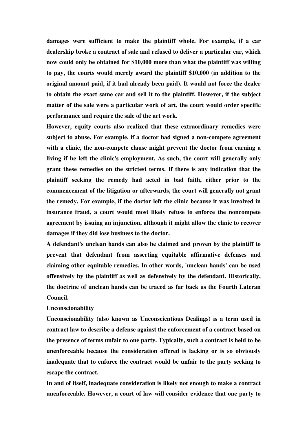**damages were sufficient to make the plaintiff whole. For example, if a car dealership broke a contract of sale and refused to deliver a particular car, which now could only be obtained for \$10,000 more than what the plaintiff was willing to pay, the courts would merely award the plaintiff \$10,000 (in addition to the original amount paid, if it had already been paid). It would not force the dealer to obtain the exact same car and sell it to the plaintiff. However, if the subject matter of the sale were a particular work of art, the court would order specific performance and require the sale of the art work.** 

**However, equity courts also realized that these extraordinary remedies were subject to abuse. For example, if a doctor had signed a non-compete agreement with a clinic, the non-compete clause might prevent the doctor from earning a living if he left the clinic's employment. As such, the court will generally only grant these remedies on the strictest terms. If there is any indication that the plaintiff seeking the remedy had acted in bad faith, either prior to the commencement of the litigation or afterwards, the court will generally not grant the remedy. For example, if the doctor left the clinic because it was involved in insurance fraud, a court would most likely refuse to enforce the noncompete agreement by issuing an injunction, although it might allow the clinic to recover damages if they did lose business to the doctor.** 

**A defendant's unclean hands can also be claimed and proven by the plaintiff to prevent that defendant from asserting equitable affirmative defenses and claiming other equitable remedies. In other words, 'unclean hands' can be used offensively by the plaintiff as well as defensively by the defendant. Historically, the doctrine of unclean hands can be traced as far back as the Fourth Lateran Council.** 

## **Unconscionability**

**Unconscionability (also known as Unconscientious Dealings) is a term used in contract law to describe a defense against the enforcement of a contract based on the presence of terms unfair to one party. Typically, such a contract is held to be unenforceable because the consideration offered is lacking or is so obviously inadequate that to enforce the contract would be unfair to the party seeking to escape the contract.** 

**In and of itself, inadequate consideration is likely not enough to make a contract unenforceable. However, a court of law will consider evidence that one party to**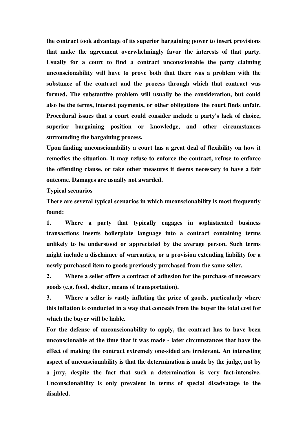**the contract took advantage of its superior bargaining power to insert provisions that make the agreement overwhelmingly favor the interests of that party. Usually for a court to find a contract unconscionable the party claiming unconscionability will have to prove both that there was a problem with the substance of the contract and the process through which that contract was formed. The substantive problem will usually be the consideration, but could also be the terms, interest payments, or other obligations the court finds unfair. Procedural issues that a court could consider include a party's lack of choice, superior bargaining position or knowledge, and other circumstances surrounding the bargaining process.** 

**Upon finding unconscionability a court has a great deal of flexibility on how it remedies the situation. It may refuse to enforce the contract, refuse to enforce the offending clause, or take other measures it deems necessary to have a fair outcome. Damages are usually not awarded.** 

**Typical scenarios** 

**There are several typical scenarios in which unconscionability is most frequently found:** 

**1. Where a party that typically engages in sophisticated business transactions inserts boilerplate language into a contract containing terms unlikely to be understood or appreciated by the average person. Such terms might include a disclaimer of warranties, or a provision extending liability for a newly purchased item to goods previously purchased from the same seller.** 

**2. Where a seller offers a contract of adhesion for the purchase of necessary goods (e.g. food, shelter, means of transportation).** 

**3. Where a seller is vastly inflating the price of goods, particularly where this inflation is conducted in a way that conceals from the buyer the total cost for which the buyer will be liable.** 

**For the defense of unconscionability to apply, the contract has to have been unconscionable at the time that it was made - later circumstances that have the effect of making the contract extremely one-sided are irrelevant. An interesting aspect of unconscionability is that the determination is made by the judge, not by a jury, despite the fact that such a determination is very fact-intensive. Unconscionability is only prevalent in terms of special disadvatage to the disabled.**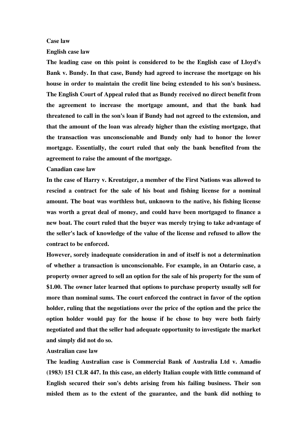#### **Case law**

**English case law** 

**The leading case on this point is considered to be the English case of Lloyd's Bank v. Bundy. In that case, Bundy had agreed to increase the mortgage on his house in order to maintain the credit line being extended to his son's business. The English Court of Appeal ruled that as Bundy received no direct benefit from the agreement to increase the mortgage amount, and that the bank had threatened to call in the son's loan if Bundy had not agreed to the extension, and that the amount of the loan was already higher than the existing mortgage, that the transaction was unconscionable and Bundy only had to honor the lower mortgage. Essentially, the court ruled that only the bank benefited from the agreement to raise the amount of the mortgage.** 

**Canadian case law** 

**In the case of Harry v. Kreutziger, a member of the First Nations was allowed to rescind a contract for the sale of his boat and fishing license for a nominal amount. The boat was worthless but, unknown to the native, his fishing license was worth a great deal of money, and could have been mortgaged to finance a new boat. The court ruled that the buyer was merely trying to take advantage of the seller's lack of knowledge of the value of the license and refused to allow the contract to be enforced.** 

**However, sorely inadequate consideration in and of itself is not a determination of whether a transaction is unconscionable. For example, in an Ontario case, a property owner agreed to sell an option for the sale of his property for the sum of \$1.00. The owner later learned that options to purchase property usually sell for more than nominal sums. The court enforced the contract in favor of the option holder, ruling that the negotiations over the price of the option and the price the option holder would pay for the house if he chose to buy were both fairly negotiated and that the seller had adequate opportunity to investigate the market and simply did not do so.** 

## **Australian case law**

**The leading Australian case is Commercial Bank of Australia Ltd v. Amadio (1983) 151 CLR 447. In this case, an elderly Italian couple with little command of English secured their son's debts arising from his failing business. Their son misled them as to the extent of the guarantee, and the bank did nothing to**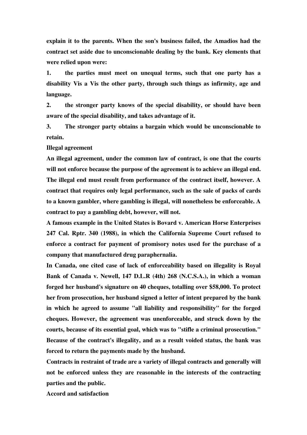**explain it to the parents. When the son's business failed, the Amadios had the contract set aside due to unconscionable dealing by the bank. Key elements that were relied upon were:** 

**1. the parties must meet on unequal terms, such that one party has a disability Vis a Vis the other party, through such things as infirmity, age and language.** 

**2. the stronger party knows of the special disability, or should have been aware of the special disability, and takes advantage of it.** 

**3. The stronger party obtains a bargain which would be unconscionable to retain.** 

## **Illegal agreement**

**An illegal agreement, under the common law of contract, is one that the courts will not enforce because the purpose of the agreement is to achieve an illegal end. The illegal end must result from performance of the contract itself, however. A contract that requires only legal performance, such as the sale of packs of cards to a known gambler, where gambling is illegal, will nonetheless be enforceable. A contract to pay a gambling debt, however, will not.** 

**A famous example in the United States is Bovard v. American Horse Enterprises 247 Cal. Rptr. 340 (1988), in which the California Supreme Court refused to enforce a contract for payment of promisory notes used for the purchase of a company that manufactured drug paraphernalia.** 

**In Canada, one cited case of lack of enforceability based on illegality is Royal Bank of Canada v. Newell, 147 D.L.R (4th) 268 (N.C.S.A.), in which a woman forged her husband's signature on 40 cheques, totalling over \$58,000. To protect her from prosecution, her husband signed a letter of intent prepared by the bank in which he agreed to assume "all liability and responsibility" for the forged cheques. However, the agreement was unenforceable, and struck down by the courts, because of its essential goal, which was to "stifle a criminal prosecution." Because of the contract's illegality, and as a result voided status, the bank was forced to return the payments made by the husband.** 

**Contracts in restraint of trade are a variety of illegal contracts and generally will not be enforced unless they are reasonable in the interests of the contracting parties and the public.** 

**Accord and satisfaction**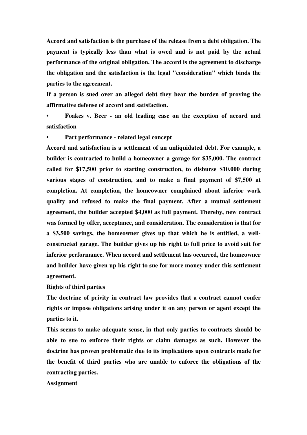**Accord and satisfaction is the purchase of the release from a debt obligation. The payment is typically less than what is owed and is not paid by the actual performance of the original obligation. The accord is the agreement to discharge the obligation and the satisfaction is the legal "consideration" which binds the parties to the agreement.** 

**If a person is sued over an alleged debt they bear the burden of proving the affirmative defense of accord and satisfaction.** 

**• Foakes v. Beer - an old leading case on the exception of accord and satisfaction** 

**• Part performance - related legal concept** 

**Accord and satisfaction is a settlement of an unliquidated debt. For example, a builder is contracted to build a homeowner a garage for \$35,000. The contract called for \$17,500 prior to starting construction, to disburse \$10,000 during various stages of construction, and to make a final payment of \$7,500 at completion. At completion, the homeowner complained about inferior work quality and refused to make the final payment. After a mutual settlement agreement, the builder accepted \$4,000 as full payment. Thereby, new contract was formed by offer, acceptance, and consideration. The consideration is that for a \$3,500 savings, the homeowner gives up that which he is entitled, a wellconstructed garage. The builder gives up his right to full price to avoid suit for inferior performance. When accord and settlement has occurred, the homeowner and builder have given up his right to sue for more money under this settlement agreement.** 

**Rights of third parties** 

**The doctrine of privity in contract law provides that a contract cannot confer rights or impose obligations arising under it on any person or agent except the parties to it.** 

**This seems to make adequate sense, in that only parties to contracts should be able to sue to enforce their rights or claim damages as such. However the doctrine has proven problematic due to its implications upon contracts made for the benefit of third parties who are unable to enforce the obligations of the contracting parties.** 

**Assignment**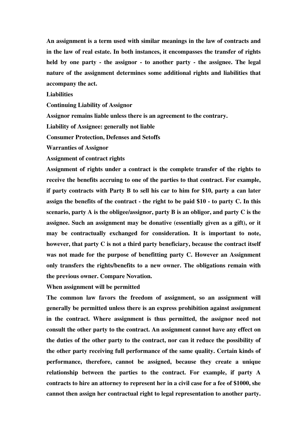**An assignment is a term used with similar meanings in the law of contracts and in the law of real estate. In both instances, it encompasses the transfer of rights held by one party - the assignor - to another party - the assignee. The legal nature of the assignment determines some additional rights and liabilities that accompany the act.** 

#### **Liabilities**

**Continuing Liability of Assignor** 

**Assignor remains liable unless there is an agreement to the contrary.** 

**Liability of Assignee: generally not liable** 

**Consumer Protection, Defenses and Setoffs** 

**Warranties of Assignor** 

**Assignment of contract rights** 

**Assignment of rights under a contract is the complete transfer of the rights to receive the benefits accruing to one of the parties to that contract. For example, if party contracts with Party B to sell his car to him for \$10, party a can later assign the benefits of the contract - the right to be paid \$10 - to party C. In this scenario, party A is the obligee/assignor, party B is an obligor, and party C is the assignee. Such an assignment may be donative (essentially given as a gift), or it may be contractually exchanged for consideration. It is important to note, however, that party C is not a third party beneficiary, because the contract itself was not made for the purpose of benefitting party C. However an Assignment only transfers the rights/benefits to a new owner. The obligations remain with the previous owner. Compare Novation.** 

**When assignment will be permitted** 

**The common law favors the freedom of assignment, so an assignment will generally be permitted unless there is an express prohibition against assignment in the contract. Where assignment is thus permitted, the assignor need not consult the other party to the contract. An assignment cannot have any effect on the duties of the other party to the contract, nor can it reduce the possibility of the other party receiving full performance of the same quality. Certain kinds of performance, therefore, cannot be assigned, because they create a unique relationship between the parties to the contract. For example, if party A contracts to hire an attorney to represent her in a civil case for a fee of \$1000, she cannot then assign her contractual right to legal representation to another party.**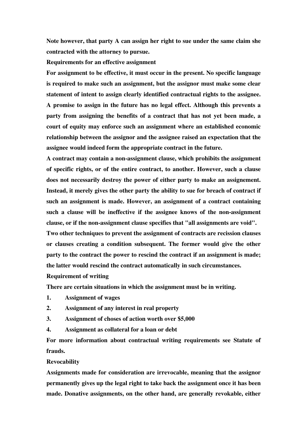**Note however, that party A can assign her right to sue under the same claim she contracted with the attorney to pursue.** 

**Requirements for an effective assignment** 

**For assignment to be effective, it must occur in the present. No specific language is required to make such an assignment, but the assignor must make some clear statement of intent to assign clearly identified contractual rights to the assignee. A promise to assign in the future has no legal effect. Although this prevents a party from assigning the benefits of a contract that has not yet been made, a court of equity may enforce such an assignment where an established economic relationship between the assignor and the assignee raised an expectation that the assignee would indeed form the appropriate contract in the future.** 

**A contract may contain a non-assignment clause, which prohibits the assignment of specific rights, or of the entire contract, to another. However, such a clause does not necessarily destroy the power of either party to make an assignement. Instead, it merely gives the other party the ability to sue for breach of contract if such an assignment is made. However, an assignment of a contract containing such a clause will be ineffective if the assignee knows of the non-assignment clause, or if the non-assignment clause specifies that "all assignments are void".** 

**Two other techniques to prevent the assignment of contracts are recission clauses or clauses creating a condition subsequent. The former would give the other party to the contract the power to rescind the contract if an assignment is made; the latter would rescind the contract automatically in such circumstances.** 

### **Requirement of writing**

**There are certain situations in which the assignment must be in writing.** 

- **1. Assignment of wages**
- **2. Assignment of any interest in real property**
- **3. Assignment of choses of action worth over \$5,000**
- **4. Assignment as collateral for a loan or debt**

**For more information about contractual writing requirements see Statute of frauds.** 

## **Revocability**

**Assignments made for consideration are irrevocable, meaning that the assignor permanently gives up the legal right to take back the assignment once it has been made. Donative assignments, on the other hand, are generally revokable, either**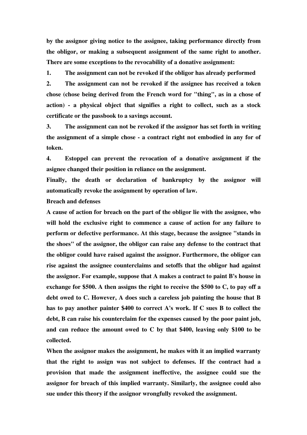**by the assignor giving notice to the assignee, taking performance directly from the obligor, or making a subsequent assignment of the same right to another. There are some exceptions to the revocability of a donative assignment:** 

**1. The assignment can not be revoked if the obligor has already performed** 

**2. The assignment can not be revoked if the assignee has received a token chose (chose being derived from the French word for "thing", as in a chose of action) - a physical object that signifies a right to collect, such as a stock certificate or the passbook to a savings account.** 

**3. The assignment can not be revoked if the assignor has set forth in writing the assignment of a simple chose - a contract right not embodied in any for of token.** 

**4. Estoppel can prevent the revocation of a donative assignment if the asignee changed their position in reliance on the assignment.** 

**Finally, the death or declaration of bankruptcy by the assignor will automatically revoke the assignment by operation of law.** 

## **Breach and defenses**

**A cause of action for breach on the part of the obligor lie with the assignee, who will hold the exclusive right to commence a cause of action for any failure to perform or defective performance. At this stage, because the assignee "stands in the shoes" of the assignor, the obligor can raise any defense to the contract that the obligor could have raised against the assignor. Furthermore, the obligor can rise against the assignee counterclaims and setoffs that the obligor had against the assignor. For example, suppose that A makes a contract to paint B's house in exchange for \$500. A then assigns the right to receive the \$500 to C, to pay off a debt owed to C. However, A does such a careless job painting the house that B has to pay another painter \$400 to correct A's work. If C sues B to collect the debt, B can raise his counterclaim for the expenses caused by the poor paint job, and can reduce the amount owed to C by that \$400, leaving only \$100 to be collected.** 

**When the assignor makes the assignment, he makes with it an implied warranty that the right to assign was not subject to defenses. If the contract had a provision that made the assignment ineffective, the assignee could sue the assignor for breach of this implied warranty. Similarly, the assignee could also sue under this theory if the assignor wrongfully revoked the assignment.**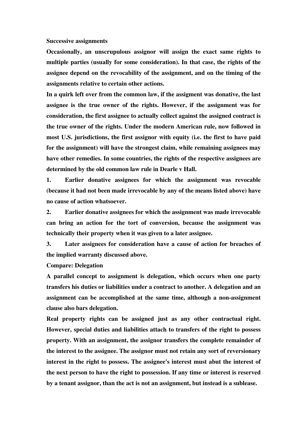#### **Successive assignments**

**Occasionally, an unscrupulous assignor will assign the exact same rights to multiple parties (usually for some consideration). In that case, the rights of the assignee depend on the revocability of the assignment, and on the timing of the assignments relative to certain other actions.** 

**In a quirk left over from the common law, if the assigment was donative, the last assignee is the true owner of the rights. However, if the assignment was for consideration, the first assignee to actually collect against the assigned contract is the true owner of the rights. Under the modern American rule, now followed in most U.S. jurisdictions, the first assignor with equity (i.e. the first to have paid for the assignment) will have the strongest claim, while remaining assignees may have other remedies. In some countries, the rights of the respective assignees are determined by the old common law rule in Dearle v Hall.** 

**1. Earlier donative assignees for which the assignment was revocable (because it had not been made irrevocable by any of the means listed above) have no cause of action whatsoever.** 

**2. Earlier donative assignees for which the assignment was made irrevocable can bring an action for the tort of conversion, because the assignment was technically their property when it was given to a later assignee.** 

**3. Later assignees for consideration have a cause of action for breaches of the implied warranty discussed above.** 

## **Compare: Delegation**

**A parallel concept to assignment is delegation, which occurs when one party transfers his duties or liabilities under a contract to another. A delegation and an assignment can be accomplished at the same time, although a non-assignment clause also bars delegation.** 

**Real property rights can be assigned just as any other contractual right. However, special duties and liabilities attach to transfers of the right to possess property. With an assignment, the assignor transfers the complete remainder of the interest to the assignee. The assignor must not retain any sort of reversionary interest in the right to possess. The assignee's interest must abut the interest of the next person to have the right to possession. If any time or interest is reserved by a tenant assignor, than the act is not an assignment, but instead is a sublease.**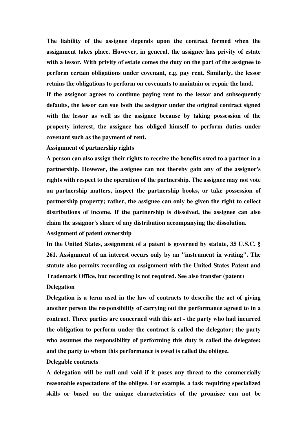**The liability of the assignee depends upon the contract formed when the assignment takes place. However, in general, the assignee has privity of estate with a lessor. With privity of estate comes the duty on the part of the assignee to perform certain obligations under covenant, e.g. pay rent. Similarly, the lessor retains the obligations to perform on covenants to maintain or repair the land.** 

**If the assignor agrees to continue paying rent to the lessor and subsequently defaults, the lessor can sue both the assignor under the original contract signed with the lessor as well as the assignee because by taking possession of the property interest, the assignee has obliged himself to perform duties under covenant such as the payment of rent.** 

#### **Assignment of partnership rights**

**A person can also assign their rights to receive the benefits owed to a partner in a partnership. However, the assignee can not thereby gain any of the assignor's rights with respect to the operation of the partnership. The assignee may not vote on partnership matters, inspect the partnership books, or take possession of partnership property; rather, the assignee can only be given the right to collect distributions of income. If the partnership is dissolved, the assignee can also claim the assignor's share of any distribution accompanying the dissolution.** 

**Assignment of patent ownership** 

**In the United States, assignment of a patent is governed by statute, 35 U.S.C. § 261. Assignment of an interest occurs only by an "instrument in writing". The statute also permits recording an assignment with the United States Patent and Trademark Office, but recording is not required. See also transfer (patent)** 

# **Delegation**

**Delegation is a term used in the law of contracts to describe the act of giving another person the responsibility of carrying out the performance agreed to in a contract. Three parties are concerned with this act - the party who had incurred the obligation to perform under the contract is called the delegator; the party who assumes the responsibility of performing this duty is called the delegatee; and the party to whom this performance is owed is called the obligee.** 

### **Delegable contracts**

**A delegation will be null and void if it poses any threat to the commercially reasonable expectations of the obligee. For example, a task requiring specialized skills or based on the unique characteristics of the promisee can not be**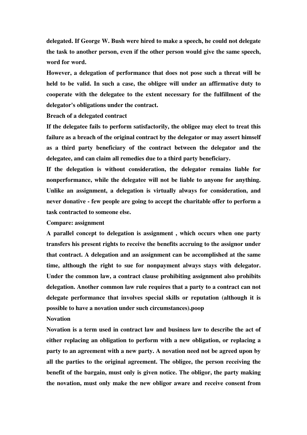**delegated. If George W. Bush were hired to make a speech, he could not delegate the task to another person, even if the other person would give the same speech, word for word.** 

**However, a delegation of performance that does not pose such a threat will be held to be valid. In such a case, the obligee will under an affirmative duty to cooperate with the delegatee to the extent necessary for the fulfillment of the delegator's obligations under the contract.** 

**Breach of a delegated contract** 

**If the delegatee fails to perform satisfactorily, the obligee may elect to treat this failure as a breach of the original contract by the delegator or may assert himself as a third party beneficiary of the contract between the delegator and the delegatee, and can claim all remedies due to a third party beneficiary.** 

**If the delegation is without consideration, the delegator remains liable for nonperformance, while the delegatee will not be liable to anyone for anything. Unlike an assignment, a delegation is virtually always for consideration, and never donative - few people are going to accept the charitable offer to perform a task contracted to someone else.** 

**Compare: assignment** 

**A parallel concept to delegation is assignment , which occurs when one party transfers his present rights to receive the benefits accruing to the assignor under that contract. A delegation and an assignment can be accomplished at the same time, although the right to sue for nonpayment always stays with delegator. Under the common law, a contract clause prohibiting assignment also prohibits delegation. Another common law rule requires that a party to a contract can not delegate performance that involves special skills or reputation (although it is possible to have a novation under such circumstances).poop** 

**Novation** 

**Novation is a term used in contract law and business law to describe the act of either replacing an obligation to perform with a new obligation, or replacing a party to an agreement with a new party. A novation need not be agreed upon by all the parties to the original agreement. The obligee, the person receiving the benefit of the bargain, must only is given notice. The obligor, the party making the novation, must only make the new obligor aware and receive consent from**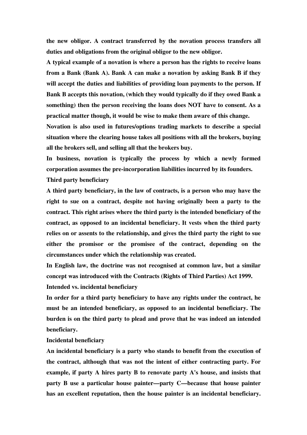**the new obligor. A contract transferred by the novation process transfers all duties and obligations from the original obligor to the new obligor.** 

**A typical example of a novation is where a person has the rights to receive loans from a Bank (Bank A). Bank A can make a novation by asking Bank B if they will accept the duties and liabilities of providing loan payments to the person. If Bank B accepts this novation, (which they would typically do if they owed Bank a something) then the person receiving the loans does NOT have to consent. As a practical matter though, it would be wise to make them aware of this change.** 

**Novation is also used in futures/options trading markets to describe a special situation where the clearing house takes all positions with all the brokers, buying all the brokers sell, and selling all that the brokers buy.** 

**In business, novation is typically the process by which a newly formed corporation assumes the pre-incorporation liabilities incurred by its founders. Third party beneficiary** 

**A third party beneficiary, in the law of contracts, is a person who may have the right to sue on a contract, despite not having originally been a party to the contract. This right arises where the third party is the intended beneficiary of the contract, as opposed to an incidental beneficiary. It vests when the third party relies on or assents to the relationship, and gives the third party the right to sue either the promisor or the promisee of the contract, depending on the circumstances under which the relationship was created.** 

**In English law, the doctrine was not recognised at common law, but a similar concept was introduced with the Contracts (Rights of Third Parties) Act 1999.** 

**Intended vs. incidental beneficiary** 

**In order for a third party beneficiary to have any rights under the contract, he must be an intended beneficiary, as opposed to an incidental beneficiary. The burden is on the third party to plead and prove that he was indeed an intended beneficiary.** 

**Incidental beneficiary** 

**An incidental beneficiary is a party who stands to benefit from the execution of the contract, although that was not the intent of either contracting party. For example, if party A hires party B to renovate party A's house, and insists that party B use a particular house painter—party C—because that house painter has an excellent reputation, then the house painter is an incidental beneficiary.**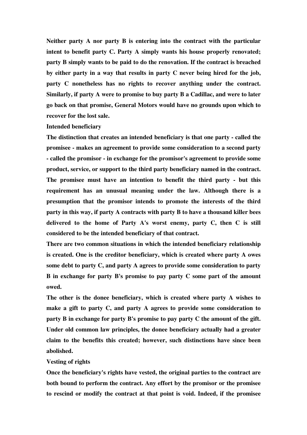**Neither party A nor party B is entering into the contract with the particular intent to benefit party C. Party A simply wants his house properly renovated; party B simply wants to be paid to do the renovation. If the contract is breached by either party in a way that results in party C never being hired for the job, party C nonetheless has no rights to recover anything under the contract. Similarly, if party A were to promise to buy party B a Cadillac, and were to later go back on that promise, General Motors would have no grounds upon which to recover for the lost sale.** 

## **Intended beneficiary**

**The distinction that creates an intended beneficiary is that one party - called the promisee - makes an agreement to provide some consideration to a second party - called the promisor - in exchange for the promisor's agreement to provide some product, service, or support to the third party beneficiary named in the contract. The promisee must have an intention to benefit the third party - but this requirement has an unusual meaning under the law. Although there is a presumption that the promisor intends to promote the interests of the third party in this way, if party A contracts with party B to have a thousand killer bees delivered to the home of Party A's worst enemy, party C, then C is still considered to be the intended beneficiary of that contract.** 

**There are two common situations in which the intended beneficiary relationship is created. One is the creditor beneficiary, which is created where party A owes some debt to party C, and party A agrees to provide some consideration to party B in exchange for party B's promise to pay party C some part of the amount owed.** 

**The other is the donee beneficiary, which is created where party A wishes to make a gift to party C, and party A agrees to provide some consideration to party B in exchange for party B's promise to pay party C the amount of the gift. Under old common law principles, the donee beneficiary actually had a greater claim to the benefits this created; however, such distinctions have since been abolished.** 

## **Vesting of rights**

**Once the beneficiary's rights have vested, the original parties to the contract are both bound to perform the contract. Any effort by the promisor or the promisee to rescind or modify the contract at that point is void. Indeed, if the promisee**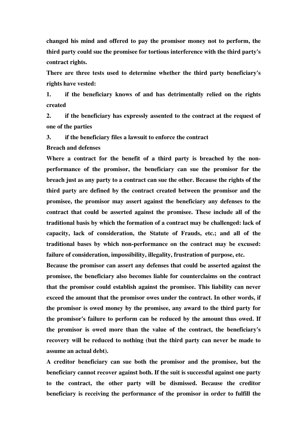**changed his mind and offered to pay the promisor money not to perform, the third party could sue the promisee for tortious interference with the third party's contract rights.** 

**There are three tests used to determine whether the third party beneficiary's rights have vested:** 

**1. if the beneficiary knows of and has detrimentally relied on the rights created** 

**2. if the beneficiary has expressly assented to the contract at the request of one of the parties** 

**3. if the beneficiary files a lawsuit to enforce the contract** 

**Breach and defenses** 

**Where a contract for the benefit of a third party is breached by the nonperformance of the promisor, the beneficiary can sue the promisor for the breach just as any party to a contract can sue the other. Because the rights of the third party are defined by the contract created between the promisor and the promisee, the promisor may assert against the beneficiary any defenses to the contract that could be asserted against the promisee. These include all of the traditional basis by which the formation of a contract may be challenged: lack of capacity, lack of consideration, the Statute of Frauds, etc.; and all of the traditional bases by which non-performance on the contract may be excused: failure of consideration, impossibility, illegality, frustration of purpose, etc.** 

**Because the promisor can assert any defenses that could be asserted against the promisee, the beneficiary also becomes liable for counterclaims on the contract that the promisor could establish against the promisee. This liability can never exceed the amount that the promisor owes under the contract. In other words, if the promisor is owed money by the promisee, any award to the third party for the promisor's failure to perform can be reduced by the amount thus owed. If the promisor is owed more than the value of the contract, the beneficiary's recovery will be reduced to nothing (but the third party can never be made to assume an actual debt).** 

**A creditor beneficiary can sue both the promisor and the promisee, but the beneficiary cannot recover against both. If the suit is successful against one party to the contract, the other party will be dismissed. Because the creditor beneficiary is receiving the performance of the promisor in order to fulfill the**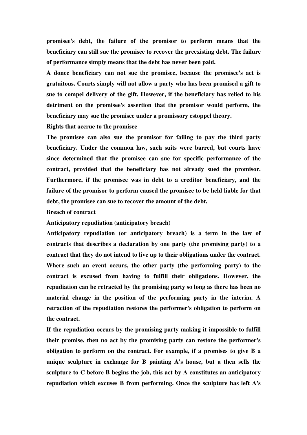**promisee's debt, the failure of the promisor to perform means that the beneficiary can still sue the promisee to recover the preexisting debt. The failure of performance simply means that the debt has never been paid.** 

**A donee beneficiary can not sue the promisee, because the promisee's act is gratuitous. Courts simply will not allow a party who has been promised a gift to sue to compel delivery of the gift. However, if the beneficiary has relied to his detriment on the promisee's assertion that the promisor would perform, the beneficiary may sue the promisee under a promissory estoppel theory.** 

## **Rights that accrue to the promisee**

**The promisee can also sue the promisor for failing to pay the third party beneficiary. Under the common law, such suits were barred, but courts have since determined that the promisee can sue for specific performance of the contract, provided that the beneficiary has not already sued the promisor. Furthermore, if the promisee was in debt to a creditor beneficiary, and the failure of the promisor to perform caused the promisee to be held liable for that debt, the promisee can sue to recover the amount of the debt.** 

**Breach of contract** 

**Anticipatory repudiation (anticipatory breach)** 

**Anticipatory repudiation (or anticipatory breach) is a term in the law of contracts that describes a declaration by one party (the promising party) to a contract that they do not intend to live up to their obligations under the contract. Where such an event occurs, the other party (the performing party) to the contract is excused from having to fulfill their obligations. However, the repudiation can be retracted by the promising party so long as there has been no material change in the position of the performing party in the interim. A retraction of the repudiation restores the performer's obligation to perform on the contract.** 

**If the repudiation occurs by the promising party making it impossible to fulfill their promise, then no act by the promising party can restore the performer's obligation to perform on the contract. For example, if a promises to give B a unique sculpture in exchange for B painting A's house, but a then sells the sculpture to C before B begins the job, this act by A constitutes an anticipatory repudiation which excuses B from performing. Once the sculpture has left A's**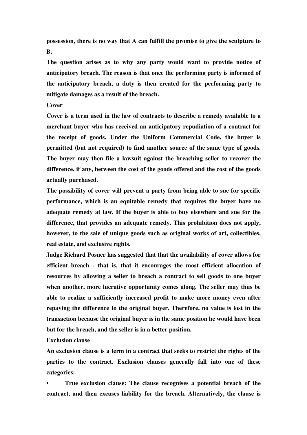**possession, there is no way that A can fulfill the promise to give the sculpture to B.** 

**The question arises as to why any party would want to provide notice of anticipatory breach. The reason is that once the performing party is informed of the anticipatory breach, a duty is then created for the performing party to mitigate damages as a result of the breach.** 

## **Cover**

**Cover is a term used in the law of contracts to describe a remedy available to a merchant buyer who has received an anticipatory repudiation of a contract for the receipt of goods. Under the Uniform Commercial Code, the buyer is permitted (but not required) to find another source of the same type of goods. The buyer may then file a lawsuit against the breaching seller to recover the difference, if any, between the cost of the goods offered and the cost of the goods actually purchased.** 

**The possibility of cover will prevent a party from being able to sue for specific performance, which is an equitable remedy that requires the buyer have no adequate remedy at law. If the buyer is able to buy elsewhere and sue for the difference, that provides an adequate remedy. This prohibition does not apply, however, to the sale of unique goods such as original works of art, collectibles, real estate, and exclusive rights.** 

**Judge Richard Posner has suggested that that the availability of cover allows for efficient breach - that is, that it encourages the most efficient allocation of resources by allowing a seller to breach a contract to sell goods to one buyer when another, more lucrative opportunity comes along. The seller may thus be able to realize a sufficiently increased profit to make more money even after repaying the difference to the original buyer. Therefore, no value is lost in the transaction because the original buyer is in the same position he would have been but for the breach, and the seller is in a better position.** 

**Exclusion clause** 

**An exclusion clause is a term in a contract that seeks to restrict the rights of the parties to the contract. Exclusion clauses generally fall into one of these categories:** 

**• True exclusion clause: The clause recognises a potential breach of the contract, and then excuses liability for the breach. Alternatively, the clause is**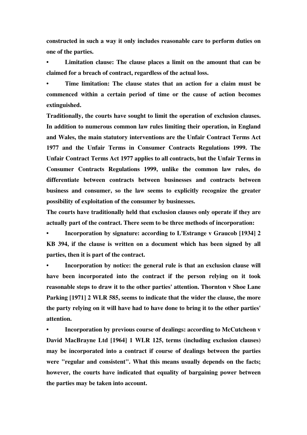**constructed in such a way it only includes reasonable care to perform duties on one of the parties.** 

**• Limitation clause: The clause places a limit on the amount that can be claimed for a breach of contract, regardless of the actual loss.** 

**• Time limitation: The clause states that an action for a claim must be commenced within a certain period of time or the cause of action becomes extinguished.** 

**Traditionally, the courts have sought to limit the operation of exclusion clauses. In addition to numerous common law rules limiting their operation, in England and Wales, the main statutory interventions are the Unfair Contract Terms Act 1977 and the Unfair Terms in Consumer Contracts Regulations 1999. The Unfair Contract Terms Act 1977 applies to all contracts, but the Unfair Terms in Consumer Contracts Regulations 1999, unlike the common law rules, do differentiate between contracts between businesses and contracts between business and consumer, so the law seems to explicitly recognize the greater possibility of exploitation of the consumer by businesses.** 

**The courts have traditionally held that exclusion clauses only operate if they are actually part of the contract. There seem to be three methods of incorporation:** 

**• Incorporation by signature: according to L'Estrange v Graucob [1934] 2 KB 394, if the clause is written on a document which has been signed by all parties, then it is part of the contract.** 

Incorporation by notice: the general rule is that an exclusion clause will **have been incorporated into the contract if the person relying on it took reasonable steps to draw it to the other parties' attention. Thornton v Shoe Lane Parking [1971] 2 WLR 585, seems to indicate that the wider the clause, the more the party relying on it will have had to have done to bring it to the other parties' attention.** 

**• Incorporation by previous course of dealings: according to McCutcheon v David MacBrayne Ltd [1964] 1 WLR 125, terms (including exclusion clauses) may be incorporated into a contract if course of dealings between the parties were "regular and consistent". What this means usually depends on the facts; however, the courts have indicated that equality of bargaining power between the parties may be taken into account.**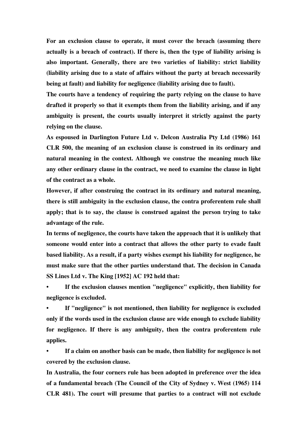**For an exclusion clause to operate, it must cover the breach (assuming there actually is a breach of contract). If there is, then the type of liability arising is also important. Generally, there are two varieties of liability: strict liability (liability arising due to a state of affairs without the party at breach necessarily being at fault) and liability for negligence (liability arising due to fault).** 

**The courts have a tendency of requiring the party relying on the clause to have drafted it properly so that it exempts them from the liability arising, and if any ambiguity is present, the courts usually interpret it strictly against the party relying on the clause.** 

**As espoused in Darlington Future Ltd v. Delcon Australia Pty Ltd (1986) 161 CLR 500, the meaning of an exclusion clause is construed in its ordinary and natural meaning in the context. Although we construe the meaning much like any other ordinary clause in the contract, we need to examine the clause in light of the contract as a whole.** 

**However, if after construing the contract in its ordinary and natural meaning, there is still ambiguity in the exclusion clause, the contra proferentem rule shall apply; that is to say, the clause is construed against the person trying to take advantage of the rule.** 

**In terms of negligence, the courts have taken the approach that it is unlikely that someone would enter into a contract that allows the other party to evade fault based liability. As a result, if a party wishes exempt his liability for negligence, he must make sure that the other parties understand that. The decision in Canada SS Lines Ltd v. The King [1952] AC 192 held that:** 

**• If the exclusion clauses mention "negligence" explicitly, then liability for negligence is excluded.** 

**• If "negligence" is not mentioned, then liability for negligence is excluded only if the words used in the exclusion clause are wide enough to exclude liability for negligence. If there is any ambiguity, then the contra proferentem rule applies.** 

**• If a claim on another basis can be made, then liability for negligence is not covered by the exclusion clause.** 

**In Australia, the four corners rule has been adopted in preference over the idea of a fundamental breach (The Council of the City of Sydney v. West (1965) 114 CLR 481). The court will presume that parties to a contract will not exclude**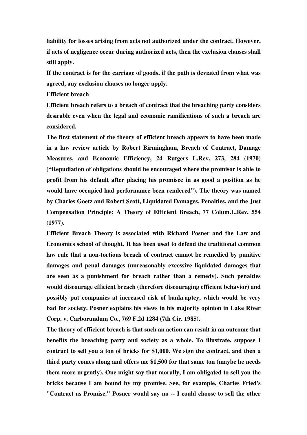**liability for losses arising from acts not authorized under the contract. However, if acts of negligence occur during authorized acts, then the exclusion clauses shall still apply.** 

**If the contract is for the carriage of goods, if the path is deviated from what was agreed, any exclusion clauses no longer apply.** 

**Efficient breach** 

**Efficient breach refers to a breach of contract that the breaching party considers desirable even when the legal and economic ramifications of such a breach are considered.** 

**The first statement of the theory of efficient breach appears to have been made in a law review article by Robert Birmingham, Breach of Contract, Damage Measures, and Economic Efficiency, 24 Rutgers L.Rev. 273, 284 (1970) ("Repudiation of obligations should be encouraged where the promisor is able to profit from his default after placing his promisee in as good a position as he would have occupied had performance been rendered"). The theory was named by Charles Goetz and Robert Scott, Liquidated Damages, Penalties, and the Just Compensation Principle: A Theory of Efficient Breach, 77 Colum.L.Rev. 554 (1977).** 

**Efficient Breach Theory is associated with Richard Posner and the Law and Economics school of thought. It has been used to defend the traditional common law rule that a non-tortious breach of contract cannot be remedied by punitive damages and penal damages (unreasonably excessive liquidated damages that are seen as a punishment for breach rather than a remedy). Such penalties would discourage efficient breach (therefore discouraging efficient behavior) and possibly put companies at increased risk of bankruptcy, which would be very bad for society. Posner explains his views in his majority opinion in Lake River Corp. v. Carborundum Co., 769 F.2d 1284 (7th Cir. 1985).** 

**The theory of efficient breach is that such an action can result in an outcome that benefits the breaching party and society as a whole. To illustrate, suppose I contract to sell you a ton of bricks for \$1,000. We sign the contract, and then a third party comes along and offers me \$1,500 for that same ton (maybe he needs them more urgently). One might say that morally, I am obligated to sell you the bricks because I am bound by my promise. See, for example, Charles Fried's "Contract as Promise." Posner would say no -- I could choose to sell the other**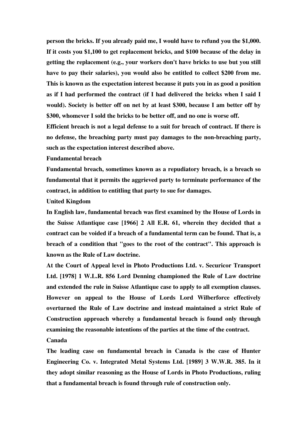**person the bricks. If you already paid me, I would have to refund you the \$1,000. If it costs you \$1,100 to get replacement bricks, and \$100 because of the delay in getting the replacement (e.g., your workers don't have bricks to use but you still have to pay their salaries), you would also be entitled to collect \$200 from me. This is known as the expectation interest because it puts you in as good a position as if I had performed the contract (if I had delivered the bricks when I said I would). Society is better off on net by at least \$300, because I am better off by \$300, whomever I sold the bricks to be better off, and no one is worse off.** 

**Efficient breach is not a legal defense to a suit for breach of contract. If there is no defense, the breaching party must pay damages to the non-breaching party, such as the expectation interest described above.** 

**Fundamental breach** 

**Fundamental breach, sometimes known as a repudiatory breach, is a breach so fundamental that it permits the aggrieved party to terminate performance of the contract, in addition to entitling that party to sue for damages.** 

## **United Kingdom**

**In English law, fundamental breach was first examined by the House of Lords in the Suisse Atlantique case [1966] 2 All E.R. 61, wherein they decided that a contract can be voided if a breach of a fundamental term can be found. That is, a breach of a condition that "goes to the root of the contract". This approach is known as the Rule of Law doctrine.** 

**At the Court of Appeal level in Photo Productions Ltd. v. Securicor Transport Ltd. [1978] 1 W.L.R. 856 Lord Denning championed the Rule of Law doctrine and extended the rule in Suisse Atlantique case to apply to all exemption clauses. However on appeal to the House of Lords Lord Wilberforce effectively overturned the Rule of Law doctrine and instead maintained a strict Rule of Construction approach whereby a fundamental breach is found only through examining the reasonable intentions of the parties at the time of the contract.** 

# **Canada**

**The leading case on fundamental breach in Canada is the case of Hunter Engineering Co. v. Integrated Metal Systems Ltd. [1989] 3 W.W.R. 385. In it they adopt similar reasoning as the House of Lords in Photo Productions, ruling that a fundamental breach is found through rule of construction only.**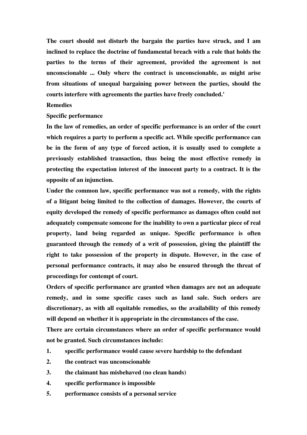**The court should not disturb the bargain the parties have struck, and I am inclined to replace the doctrine of fundamental breach with a rule that holds the parties to the terms of their agreement, provided the agreement is not unconscionable ... Only where the contract is unconscionable, as might arise from situations of unequal bargaining power between the parties, should the courts interfere with agreements the parties have freely concluded.'** 

## **Remedies**

### **Specific performance**

**In the law of remedies, an order of specific performance is an order of the court which requires a party to perform a specific act. While specific performance can be in the form of any type of forced action, it is usually used to complete a previously established transaction, thus being the most effective remedy in protecting the expectation interest of the innocent party to a contract. It is the opposite of an injunction.** 

**Under the common law, specific performance was not a remedy, with the rights of a litigant being limited to the collection of damages. However, the courts of equity developed the remedy of specific performance as damages often could not adequately compensate someone for the inability to own a particular piece of real property, land being regarded as unique. Specific performance is often guaranteed through the remedy of a writ of possession, giving the plaintiff the right to take possession of the property in dispute. However, in the case of personal performance contracts, it may also be ensured through the threat of proceedings for contempt of court.** 

**Orders of specific performance are granted when damages are not an adequate remedy, and in some specific cases such as land sale. Such orders are discretionary, as with all equitable remedies, so the availability of this remedy will depend on whether it is appropriate in the circumstances of the case.** 

**There are certain circumstances where an order of specific performance would not be granted. Such circumstances include:** 

- **1. specific performance would cause severe hardship to the defendant**
- **2. the contract was unconscionable**
- **3. the claimant has misbehaved (no clean hands)**
- **4. specific performance is impossible**
- **5. performance consists of a personal service**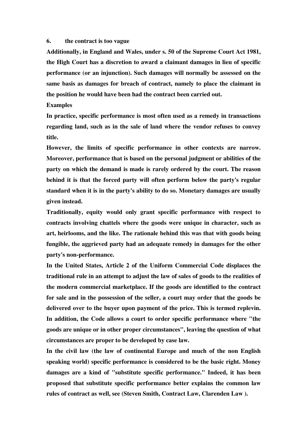## **6. the contract is too vague**

**Additionally, in England and Wales, under s. 50 of the Supreme Court Act 1981, the High Court has a discretion to award a claimant damages in lieu of specific performance (or an injunction). Such damages will normally be assessed on the same basis as damages for breach of contract, namely to place the claimant in the position he would have been had the contract been carried out.** 

### **Examples**

**In practice, specific performance is most often used as a remedy in transactions regarding land, such as in the sale of land where the vendor refuses to convey title.** 

**However, the limits of specific performance in other contexts are narrow. Moreover, performance that is based on the personal judgment or abilities of the party on which the demand is made is rarely ordered by the court. The reason behind it is that the forced party will often perform below the party's regular standard when it is in the party's ability to do so. Monetary damages are usually given instead.** 

**Traditionally, equity would only grant specific performance with respect to contracts involving chattels where the goods were unique in character, such as art, heirlooms, and the like. The rationale behind this was that with goods being fungible, the aggrieved party had an adequate remedy in damages for the other party's non-performance.** 

**In the United States, Article 2 of the Uniform Commercial Code displaces the traditional rule in an attempt to adjust the law of sales of goods to the realities of the modern commercial marketplace. If the goods are identified to the contract for sale and in the possession of the seller, a court may order that the goods be delivered over to the buyer upon payment of the price. This is termed replevin. In addition, the Code allows a court to order specific performance where "the goods are unique or in other proper circumstances", leaving the question of what circumstances are proper to be developed by case law.** 

**In the civil law (the law of continental Europe and much of the non English speaking world) specific performance is considered to be the basic right. Money damages are a kind of "substitute specific performance." Indeed, it has been proposed that substitute specific performance better explains the common law rules of contract as well, see (Steven Smith, Contract Law, Clarenden Law ).**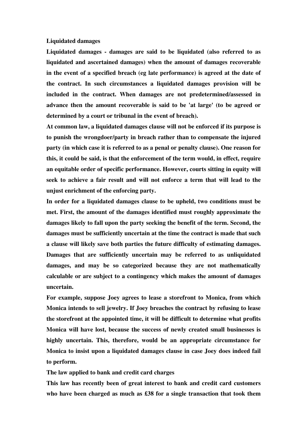## **Liquidated damages**

**Liquidated damages - damages are said to be liquidated (also referred to as liquidated and ascertained damages) when the amount of damages recoverable in the event of a specified breach (eg late performance) is agreed at the date of the contract. In such circumstances a liquidated damages provision will be included in the contract. When damages are not predetermined/assessed in advance then the amount recoverable is said to be 'at large' (to be agreed or determined by a court or tribunal in the event of breach).** 

**At common law, a liquidated damages clause will not be enforced if its purpose is to punish the wrongdoer/party in breach rather than to compensate the injured party (in which case it is referred to as a penal or penalty clause). One reason for this, it could be said, is that the enforcement of the term would, in effect, require an equitable order of specific performance. However, courts sitting in equity will seek to achieve a fair result and will not enforce a term that will lead to the unjust enrichment of the enforcing party.** 

**In order for a liquidated damages clause to be upheld, two conditions must be met. First, the amount of the damages identified must roughly approximate the damages likely to fall upon the party seeking the benefit of the term. Second, the damages must be sufficiently uncertain at the time the contract is made that such a clause will likely save both parties the future difficulty of estimating damages. Damages that are sufficiently uncertain may be referred to as unliquidated damages, and may be so categorized because they are not mathematically calculable or are subject to a contingency which makes the amount of damages uncertain.** 

**For example, suppose Joey agrees to lease a storefront to Monica, from which Monica intends to sell jewelry. If Joey breaches the contract by refusing to lease the storefront at the appointed time, it will be difficult to determine what profits Monica will have lost, because the success of newly created small businesses is highly uncertain. This, therefore, would be an appropriate circumstance for Monica to insist upon a liquidated damages clause in case Joey does indeed fail to perform.** 

**The law applied to bank and credit card charges** 

**This law has recently been of great interest to bank and credit card customers who have been charged as much as £38 for a single transaction that took them**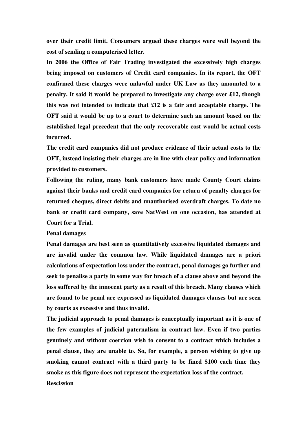**over their credit limit. Consumers argued these charges were well beyond the cost of sending a computerised letter.** 

**In 2006 the Office of Fair Trading investigated the excessively high charges being imposed on customers of Credit card companies. In its report, the OFT confirmed these charges were unlawful under UK Law as they amounted to a penalty. It said it would be prepared to investigate any charge over £12, though this was not intended to indicate that £12 is a fair and acceptable charge. The OFT said it would be up to a court to determine such an amount based on the established legal precedent that the only recoverable cost would be actual costs incurred.** 

**The credit card companies did not produce evidence of their actual costs to the OFT, instead insisting their charges are in line with clear policy and information provided to customers.** 

**Following the ruling, many bank customers have made County Court claims against their banks and credit card companies for return of penalty charges for returned cheques, direct debits and unauthorised overdraft charges. To date no bank or credit card company, save NatWest on one occasion, has attended at Court for a Trial.** 

#### **Penal damages**

**Penal damages are best seen as quantitatively excessive liquidated damages and are invalid under the common law. While liquidated damages are a priori calculations of expectation loss under the contract, penal damages go further and seek to penalise a party in some way for breach of a clause above and beyond the loss suffered by the innocent party as a result of this breach. Many clauses which are found to be penal are expressed as liquidated damages clauses but are seen by courts as excessive and thus invalid.** 

**The judicial approach to penal damages is conceptually important as it is one of the few examples of judicial paternalism in contract law. Even if two parties genuinely and without coercion wish to consent to a contract which includes a penal clause, they are unable to. So, for example, a person wishing to give up smoking cannot contract with a third party to be fined \$100 each time they smoke as this figure does not represent the expectation loss of the contract. Rescission**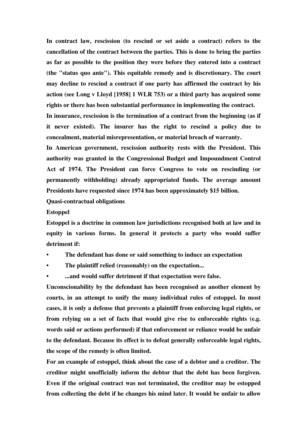**In contract law, rescission (to rescind or set aside a contract) refers to the cancellation of the contract between the parties. This is done to bring the parties as far as possible to the position they were before they entered into a contract (the "status quo ante"). This equitable remedy and is discretionary. The court may decline to rescind a contract if one party has affirmed the contract by his action (see Long v Lloyd [1958] 1 WLR 753) or a third party has acquired some rights or there has been substantial performance in implementing the contract.** 

**In insurance, rescission is the termination of a contract from the beginning (as if it never existed). The insurer has the right to rescind a policy due to concealment, material misrepresentation, or material breach of warranty.** 

**In American government, rescission authority rests with the President. This authority was granted in the Congressional Budget and Impoundment Control Act of 1974. The President can force Congress to vote on rescinding (or permanently withholding) already appropriated funds. The average amount Presidents have requested since 1974 has been approximately \$15 billion.** 

**Quasi-contractual obligations** 

**Estoppel** 

**Estoppel is a doctrine in common law jurisdictions recognised both at law and in equity in various forms. In general it protects a party who would suffer detriment if:** 

**• The defendant has done or said something to induce an expectation** 

**• The plaintiff relied (reasonably) on the expectation...** 

**• ...and would suffer detriment if that expectation were false.** 

**Unconscionability by the defendant has been recognised as another element by courts, in an attempt to unify the many individual rules of estoppel. In most cases, it is only a defense that prevents a plaintiff from enforcing legal rights, or from relying on a set of facts that would give rise to enforceable rights (e.g. words said or actions performed) if that enforcement or reliance would be unfair to the defendant. Because its effect is to defeat generally enforceable legal rights, the scope of the remedy is often limited.** 

**For an example of estoppel, think about the case of a debtor and a creditor. The creditor might unofficially inform the debtor that the debt has been forgiven. Even if the original contract was not terminated, the creditor may be estopped from collecting the debt if he changes his mind later. It would be unfair to allow**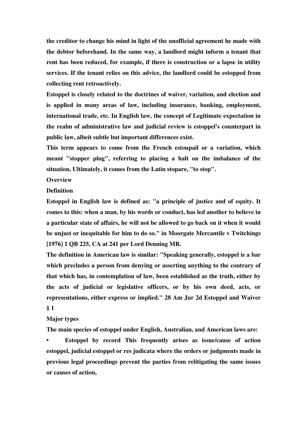**the creditor to change his mind in light of the unofficial agreement he made with the debtor beforehand. In the same way, a landlord might inform a tenant that rent has been reduced, for example, if there is construction or a lapse in utility services. If the tenant relies on this advice, the landlord could be estopped from collecting rent retroactively.** 

**Estoppel is closely related to the doctrines of waiver, variation, and election and is applied in many areas of law, including insurance, banking, employment, international trade, etc. In English law, the concept of Legitimate expectation in the realm of administrative law and judicial review is estoppel's counterpart in public law, albeit subtle but important differences exist.** 

**This term appears to come from the French estoupail or a variation, which meant "stopper plug", referring to placing a halt on the imbalance of the situation. Ultimately, it comes from the Latin stopare, "to stop".** 

### **Overview**

## **Definition**

**Estoppel in English law is defined as: "a principle of justice and of equity. It comes to this: when a man, by his words or conduct, has led another to believe in a particular state of affairs, he will not be allowed to go back on it when it would be unjust or inequitable for him to do so." in Moorgate Mercantile v Twitchings [1976] 1 QB 225, CA at 241 per Lord Denning MR.** 

**The definition in American law is similar: "Speaking generally, estoppel is a bar which precludes a person from denying or asserting anything to the contrary of that which has, in contemplation of law, been established as the truth, either by the acts of judicial or legislative officers, or by his own deed, acts, or representations, either express or implied." 28 Am Jur 2d Estoppel and Waiver § 1** 

## **Major types**

**The main species of estoppel under English, Australian, and American laws are:** 

**• Estoppel by record This frequently arises as issue/cause of action estoppel, judicial estoppel or res judicata where the orders or judgments made in previous legal proceedings prevent the parties from relitigating the same issues or causes of action,**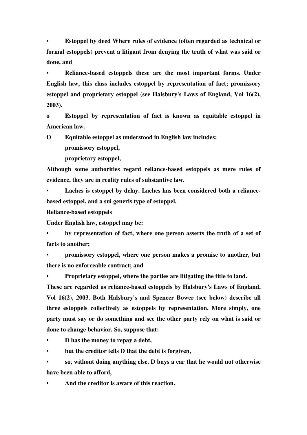**• Estoppel by deed Where rules of evidence (often regarded as technical or formal estoppels) prevent a litigant from denying the truth of what was said or done, and** 

**• Reliance-based estoppels these are the most important forms. Under English law, this class includes estoppel by representation of fact; promissory estoppel and proprietary estoppel (see Halsbury's Laws of England, Vol 16(2), 2003).** 

**o Estoppel by representation of fact is known as equitable estoppel in American law.** 

**O Equitable estoppel as understood in English law includes:** 

 **promissory estoppel,** 

 **proprietary estoppel,** 

**Although some authorities regard reliance-based estoppels as mere rules of evidence, they are in reality rules of substantive law.** 

**• Laches is estoppel by delay. Laches has been considered both a reliancebased estoppel, and a sui generis type of estoppel.** 

**Reliance-based estoppels** 

**Under English law, estoppel may be:** 

**• by representation of fact, where one person asserts the truth of a set of facts to another;** 

**• promissory estoppel, where one person makes a promise to another, but there is no enforceable contract; and** 

**• Proprietary estoppel, where the parties are litigating the title to land.** 

**These are regarded as reliance-based estoppels by Halsbury's Laws of England, Vol 16(2), 2003. Both Halsbury's and Spencer Bower (see below) describe all three estoppels collectively as estoppels by representation. More simply, one party must say or do something and see the other party rely on what is said or done to change behavior. So, suppose that:** 

**• D has the money to repay a debt,** 

**• but the creditor tells D that the debt is forgiven,** 

**• so, without doing anything else, D buys a car that he would not otherwise have been able to afford,** 

**• And the creditor is aware of this reaction.**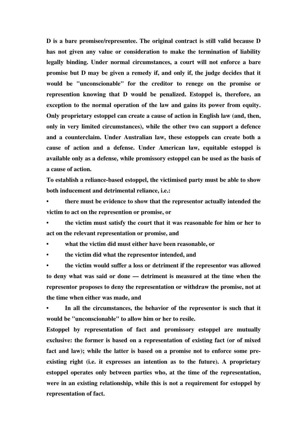**D is a bare promisee/representee. The original contract is still valid because D has not given any value or consideration to make the termination of liability legally binding. Under normal circumstances, a court will not enforce a bare promise but D may be given a remedy if, and only if, the judge decides that it would be "unconscionable" for the creditor to renege on the promise or represention knowing that D would be penalized. Estoppel is, therefore, an exception to the normal operation of the law and gains its power from equity. Only proprietary estoppel can create a cause of action in English law (and, then, only in very limited circumstances), while the other two can support a defence and a counterclaim. Under Australian law, these estoppels can create both a cause of action and a defense. Under American law, equitable estoppel is available only as a defense, while promissory estoppel can be used as the basis of a cause of action.** 

**To establish a reliance-based estoppel, the victimised party must be able to show both inducement and detrimental reliance, i.e.:** 

**• there must be evidence to show that the representor actually intended the victim to act on the represention or promise, or** 

**• the victim must satisfy the court that it was reasonable for him or her to act on the relevant representation or promise, and** 

**• what the victim did must either have been reasonable, or** 

**• the victim did what the representor intended, and** 

**• the victim would suffer a loss or detriment if the representor was allowed to deny what was said or done — detriment is measured at the time when the representor proposes to deny the representation or withdraw the promise, not at the time when either was made, and** 

**• In all the circumstances, the behavior of the representor is such that it would be "unconscionable" to allow him or her to resile.** 

**Estoppel by representation of fact and promissory estoppel are mutually exclusive: the former is based on a representation of existing fact (or of mixed fact and law); while the latter is based on a promise not to enforce some preexisting right (i.e. it expresses an intention as to the future). A proprietary estoppel operates only between parties who, at the time of the representation, were in an existing relationship, while this is not a requirement for estoppel by representation of fact.**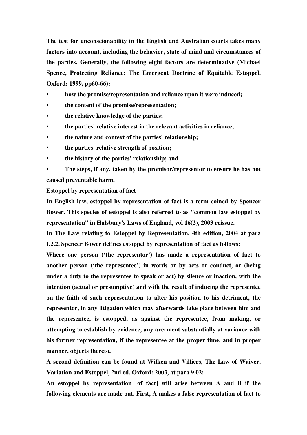**The test for unconscionability in the English and Australian courts takes many factors into account, including the behavior, state of mind and circumstances of the parties. Generally, the following eight factors are determinative (Michael Spence, Protecting Reliance: The Emergent Doctrine of Equitable Estoppel, Oxford: 1999, pp60-66):** 

- **how the promise/representation and reliance upon it were induced;**
- **the content of the promise/representation;**
- **the relative knowledge of the parties;**
- **the parties' relative interest in the relevant activities in reliance;**
- **the nature and context of the parties' relationship;**
- **the parties' relative strength of position;**
- **the history of the parties' relationship; and**
- **The steps, if any, taken by the promisor/representor to ensure he has not caused preventable harm.**

**Estoppel by representation of fact** 

**In English law, estoppel by representation of fact is a term coined by Spencer Bower. This species of estoppel is also referred to as "common law estoppel by representation" in Halsbury's Laws of England, vol 16(2), 2003 reissue.** 

**In The Law relating to Estoppel by Representation, 4th edition, 2004 at para I.2.2, Spencer Bower defines estoppel by representation of fact as follows:** 

**Where one person ('the representor') has made a representation of fact to another person ('the representee') in words or by acts or conduct, or (being under a duty to the representee to speak or act) by silence or inaction, with the intention (actual or presumptive) and with the result of inducing the representee on the faith of such representation to alter his position to his detriment, the representor, in any litigation which may afterwards take place between him and the representee, is estopped, as against the representee, from making, or attempting to establish by evidence, any averment substantially at variance with his former representation, if the representee at the proper time, and in proper manner, objects thereto.** 

**A second definition can be found at Wilken and Villiers, The Law of Waiver, Variation and Estoppel, 2nd ed, Oxford: 2003, at para 9.02:** 

**An estoppel by representation [of fact] will arise between A and B if the following elements are made out. First, A makes a false representation of fact to**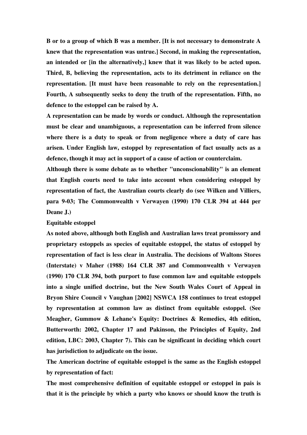**B or to a group of which B was a member. [It is not necessary to demonstrate A knew that the representation was untrue.] Second, in making the representation, an intended or [in the alternatively,] knew that it was likely to be acted upon. Third, B, believing the representation, acts to its detriment in reliance on the representation. [It must have been reasonable to rely on the representation.] Fourth, A subsequently seeks to deny the truth of the representation. Fifth, no defence to the estoppel can be raised by A.** 

**A representation can be made by words or conduct. Although the representation must be clear and unambiguous, a representation can be inferred from silence where there is a duty to speak or from negligence where a duty of care has arisen. Under English law, estoppel by representation of fact usually acts as a defence, though it may act in support of a cause of action or counterclaim.** 

**Although there is some debate as to whether "unconscionability" is an element that English courts need to take into account when considering estoppel by representation of fact, the Australian courts clearly do (see Wilken and Villiers, para 9-03; The Commonwealth v Verwayen (1990) 170 CLR 394 at 444 per Deane J.)** 

#### **Equitable estoppel**

**As noted above, although both English and Australian laws treat promissory and proprietary estoppels as species of equitable estoppel, the status of estoppel by representation of fact is less clear in Australia. The decisions of Waltons Stores (Interstate) v Maher (1988) 164 CLR 387 and Commonwealth v Verwayen (1990) 170 CLR 394, both purport to fuse common law and equitable estoppels into a single unified doctrine, but the New South Wales Court of Appeal in Bryon Shire Council v Vaughan [2002] NSWCA 158 continues to treat estoppel by representation at common law as distinct from equitable estoppel. (See Meagher, Gummow & Lehane's Equity: Doctrines & Remedies, 4th edition, Butterworth: 2002, Chapter 17 and Pakinson, the Principles of Equity, 2nd edition, LBC: 2003, Chapter 7). This can be significant in deciding which court has jurisdiction to adjudicate on the issue.** 

**The American doctrine of equitable estoppel is the same as the English estoppel by representation of fact:** 

**The most comprehensive definition of equitable estoppel or estoppel in pais is that it is the principle by which a party who knows or should know the truth is**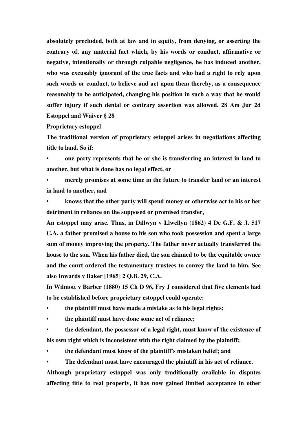**absolutely precluded, both at law and in equity, from denying, or asserting the contrary of, any material fact which, by his words or conduct, affirmative or negative, intentionally or through culpable negligence, he has induced another, who was excusably ignorant of the true facts and who had a right to rely upon such words or conduct, to believe and act upon them thereby, as a consequence reasonably to be anticipated, changing his position in such a way that he would suffer injury if such denial or contrary assertion was allowed. 28 Am Jur 2d Estoppel and Waiver § 28** 

**Proprietary estoppel** 

**The traditional version of proprietary estoppel arises in negotiations affecting title to land. So if:** 

**• one party represents that he or she is transferring an interest in land to another, but what is done has no legal effect, or** 

**• merely promises at some time in the future to transfer land or an interest in land to another, and** 

**• knows that the other party will spend money or otherwise act to his or her detriment in reliance on the supposed or promised transfer,** 

**An estoppel may arise. Thus, in Dillwyn v Llwellyn (1862) 4 De G.F. & J. 517 C.A. a father promised a house to his son who took possession and spent a large sum of money improving the property. The father never actually transferred the house to the son. When his father died, the son claimed to be the equitable owner and the court ordered the testamentary trustees to convey the land to him. See also Inwards v Baker [1965] 2 Q.B. 29, C.A.** 

**In Wilmott v Barber (1880) 15 Ch D 96, Fry J considered that five elements had to be established before proprietary estoppel could operate:** 

**• the plaintiff must have made a mistake as to his legal rights;** 

**• the plaintiff must have done some act of reliance;** 

**• the defendant, the possessor of a legal right, must know of the existence of his own right which is inconsistent with the right claimed by the plaintiff;** 

**• the defendant must know of the plaintiff's mistaken belief; and** 

**• The defendant must have encouraged the plaintiff in his act of reliance.** 

**Although proprietary estoppel was only traditionally available in disputes affecting title to real property, it has now gained limited acceptance in other**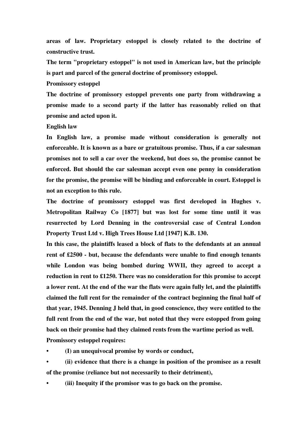**areas of law. Proprietary estoppel is closely related to the doctrine of constructive trust.** 

**The term "proprietary estoppel" is not used in American law, but the principle is part and parcel of the general doctrine of promissory estoppel.** 

### **Promissory estoppel**

**The doctrine of promissory estoppel prevents one party from withdrawing a promise made to a second party if the latter has reasonably relied on that promise and acted upon it.** 

**English law** 

**In English law, a promise made without consideration is generally not enforceable. It is known as a bare or gratuitous promise. Thus, if a car salesman promises not to sell a car over the weekend, but does so, the promise cannot be enforced. But should the car salesman accept even one penny in consideration for the promise, the promise will be binding and enforceable in court. Estoppel is not an exception to this rule.** 

**The doctrine of promissory estoppel was first developed in Hughes v. Metropolitan Railway Co [1877] but was lost for some time until it was resurrected by Lord Denning in the controversial case of Central London Property Trust Ltd v. High Trees House Ltd [1947] K.B. 130.** 

**In this case, the plaintiffs leased a block of flats to the defendants at an annual rent of £2500 - but, because the defendants were unable to find enough tenants while London was being bombed during WWII, they agreed to accept a reduction in rent to £1250. There was no consideration for this promise to accept a lower rent. At the end of the war the flats were again fully let, and the plaintiffs claimed the full rent for the remainder of the contract beginning the final half of that year, 1945. Denning J held that, in good conscience, they were entitled to the full rent from the end of the war, but noted that they were estopped from going back on their promise had they claimed rents from the wartime period as well. Promissory estoppel requires:** 

**• (I) an unequivocal promise by words or conduct,** 

**• (ii) evidence that there is a change in position of the promisee as a result of the promise (reliance but not necessarily to their detriment),** 

**• (iii) Inequity if the promisor was to go back on the promise.**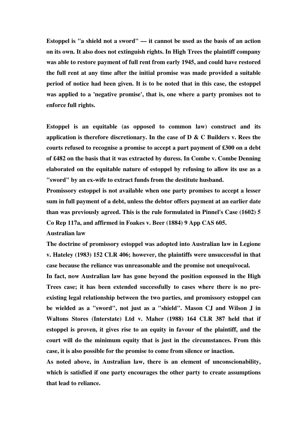**Estoppel is "a shield not a sword" — it cannot be used as the basis of an action on its own. It also does not extinguish rights. In High Trees the plaintiff company was able to restore payment of full rent from early 1945, and could have restored the full rent at any time after the initial promise was made provided a suitable period of notice had been given. It is to be noted that in this case, the estoppel was applied to a 'negative promise', that is, one where a party promises not to enforce full rights.** 

**Estoppel is an equitable (as opposed to common law) construct and its application is therefore discretionary. In the case of D & C Builders v. Rees the courts refused to recognise a promise to accept a part payment of £300 on a debt of £482 on the basis that it was extracted by duress. In Combe v. Combe Denning elaborated on the equitable nature of estoppel by refusing to allow its use as a "sword" by an ex-wife to extract funds from the destitute husband.** 

**Promissory estoppel is not available when one party promises to accept a lesser sum in full payment of a debt, unless the debtor offers payment at an earlier date than was previously agreed. This is the rule formulated in Pinnel's Case (1602) 5 Co Rep 117a, and affirmed in Foakes v. Beer (1884) 9 App CAS 605.** 

**Australian law** 

**The doctrine of promissory estoppel was adopted into Australian law in Legione v. Hateley (1983) 152 CLR 406; however, the plaintiffs were unsuccessful in that case because the reliance was unreasonable and the promise not unequivocal.** 

**In fact, now Australian law has gone beyond the position espoused in the High Trees case; it has been extended successfully to cases where there is no preexisting legal relationship between the two parties, and promissory estoppel can be wielded as a "sword", not just as a "shield". Mason CJ and Wilson J in Waltons Stores (Interstate) Ltd v. Maher (1988) 164 CLR 387 held that if estoppel is proven, it gives rise to an equity in favour of the plaintiff, and the court will do the minimum equity that is just in the circumstances. From this case, it is also possible for the promise to come from silence or inaction.** 

**As noted above, in Australian law, there is an element of unconscionability, which is satisfied if one party encourages the other party to create assumptions that lead to reliance.**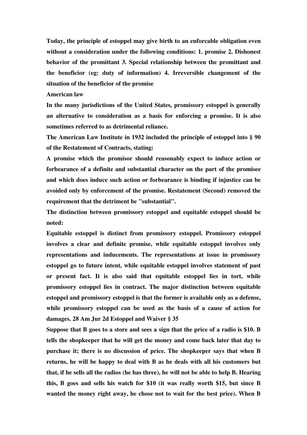**Today, the principle of estoppel may give birth to an enforcable obligation even without a consideration under the following conditions: 1. promise 2. Dishonest behavior of the promittant 3. Special relationship between the promittant and the beneficior (eg: duty of information) 4. Irreversible changement of the situation of the beneficior of the promise** 

## **American law**

**In the many jurisdictions of the United States, promissory estoppel is generally an alternative to consideration as a basis for enforcing a promise. It is also sometimes referred to as detrimental reliance.** 

**The American Law Institute in 1932 included the principle of estoppel into § 90 of the Restatement of Contracts, stating:** 

**A promise which the promisor should reasonably expect to induce action or forbearance of a definite and substantial character on the part of the promisee and which does induce such action or forbearance is binding if injustice can be avoided only by enforcement of the promise. Restatement (Second) removed the requirement that the detriment be "substantial".** 

**The distinction between promissory estoppel and equitable estoppel should be noted:** 

**Equitable estoppel is distinct from promissory estoppel. Promissory estoppel involves a clear and definite promise, while equitable estoppel involves only representations and inducements. The representations at issue in promissory estoppel go to future intent, while equitable estoppel involves statement of past or present fact. It is also said that equitable estoppel lies in tort, while promissory estoppel lies in contract. The major distinction between equitable estoppel and promissory estoppel is that the former is available only as a defense, while promissory estoppel can be used as the basis of a cause of action for damages. 28 Am Jur 2d Estoppel and Waiver § 35** 

**Suppose that B goes to a store and sees a sign that the price of a radio is \$10. B tells the shopkeeper that he will get the money and come back later that day to purchase it; there is no discussion of price. The shopkeeper says that when B returns, he will be happy to deal with B as he deals with all his customers but that, if he sells all the radios (he has three), he will not be able to help B. Hearing this, B goes and sells his watch for \$10 (it was really worth \$15, but since B wanted the money right away, he chose not to wait for the best price). When B**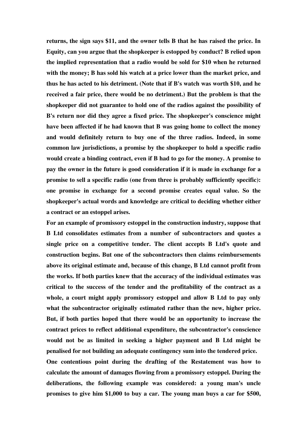**returns, the sign says \$11, and the owner tells B that he has raised the price. In Equity, can you argue that the shopkeeper is estopped by conduct? B relied upon the implied representation that a radio would be sold for \$10 when he returned with the money; B has sold his watch at a price lower than the market price, and thus he has acted to his detriment. (Note that if B's watch was worth \$10, and he received a fair price, there would be no detriment.) But the problem is that the shopkeeper did not guarantee to hold one of the radios against the possibility of B's return nor did they agree a fixed price. The shopkeeper's conscience might have been affected if he had known that B was going home to collect the money and would definitely return to buy one of the three radios. Indeed, in some common law jurisdictions, a promise by the shopkeeper to hold a specific radio would create a binding contract, even if B had to go for the money. A promise to pay the owner in the future is good consideration if it is made in exchange for a promise to sell a specific radio (one from three is probably sufficiently specific): one promise in exchange for a second promise creates equal value. So the shopkeeper's actual words and knowledge are critical to deciding whether either a contract or an estoppel arises.** 

**For an example of promissory estoppel in the construction industry, suppose that B Ltd consolidates estimates from a number of subcontractors and quotes a single price on a competitive tender. The client accepts B Ltd's quote and construction begins. But one of the subcontractors then claims reimbursements above its original estimate and, because of this change, B Ltd cannot profit from the works. If both parties knew that the accuracy of the individual estimates was critical to the success of the tender and the profitability of the contract as a whole, a court might apply promissory estoppel and allow B Ltd to pay only what the subcontractor originally estimated rather than the new, higher price. But, if both parties hoped that there would be an opportunity to increase the contract prices to reflect additional expenditure, the subcontractor's conscience would not be as limited in seeking a higher payment and B Ltd might be penalised for not building an adequate contingency sum into the tendered price. One contentious point during the drafting of the Restatement was how to calculate the amount of damages flowing from a promissory estoppel. During the deliberations, the following example was considered: a young man's uncle promises to give him \$1,000 to buy a car. The young man buys a car for \$500,**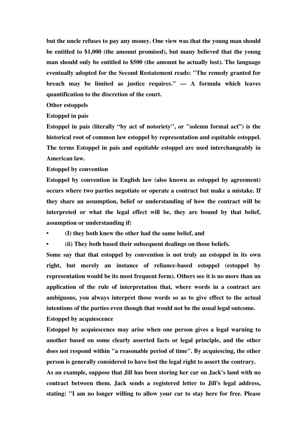**but the uncle refuses to pay any money. One view was that the young man should be entitled to \$1,000 (the amount promised), but many believed that the young man should only be entitled to \$500 (the amount he actually lost). The language eventually adopted for the Second Restatement reads: "The remedy granted for breach may be limited as justice requires." — A formula which leaves quantification to the discretion of the court.** 

## **Other estoppels**

**Estoppel in pais** 

**Estoppel in pais (literally "by act of notoriety", or "solemn formal act") is the historical root of common law estoppel by representation and equitable estoppel. The terms Estoppel in pais and equitable estoppel are used interchangeably in American law.** 

**Estoppel by convention** 

**Estoppel by convention in English law (also known as estoppel by agreement) occurs where two parties negotiate or operate a contract but make a mistake. If they share an assumption, belief or understanding of how the contract will be interpreted or what the legal effect will be, they are bound by that belief, assumption or understanding if:** 

**• (I) they both knew the other had the same belief, and** 

**• (ii) They both based their subsequent dealings on those beliefs.** 

**Some say that that estoppel by convention is not truly an estoppel in its own right, but merely an instance of reliance-based estoppel (estoppel by representation would be its most frequent form). Others see it is no more than an application of the rule of interpretation that, where words in a contract are ambiguous, you always interpret those words so as to give effect to the actual intentions of the parties even though that would not be the usual legal outcome.** 

**Estoppel by acquiescence** 

**Estoppel by acquiescence may arise when one person gives a legal warning to another based on some clearly asserted facts or legal principle, and the other does not respond within "a reasonable period of time". By acquiescing, the other person is generally considered to have lost the legal right to assert the contrary.** 

**As an example, suppose that Jill has been storing her car on Jack's land with no contract between them. Jack sends a registered letter to Jill's legal address, stating: "I am no longer willing to allow your car to stay here for free. Please**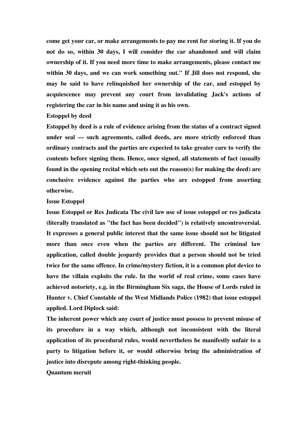**come get your car, or make arrangements to pay me rent for storing it. If you do not do so, within 30 days, I will consider the car abandoned and will claim ownership of it. If you need more time to make arrangements, please contact me within 30 days, and we can work something out." If Jill does not respond, she may be said to have relinquished her ownership of the car, and estoppel by acquiescence may prevent any court from invalidating Jack's actions of registering the car in his name and using it as his own.** 

## **Estoppel by deed**

**Estoppel by deed is a rule of evidence arising from the status of a contract signed under seal — such agreements, called deeds, are more strictly enforced than ordinary contracts and the parties are expected to take greater care to verify the contents before signing them. Hence, once signed, all statements of fact (usually found in the opening recital which sets out the reason(s) for making the deed) are conclusive evidence against the parties who are estopped from asserting otherwise.** 

## **Issue Estoppel**

**Issue Estoppel or Res Judicata The civil law use of issue estoppel or res judicata (literally translated as "the fact has been decided") is relatively uncontroversial. It expresses a general public interest that the same issue should not be litigated more than once even when the parties are different. The criminal law application, called double jeopardy provides that a person should not be tried twice for the same offence. In crime/mystery fiction, it is a common plot device to have the villain exploits the rule. In the world of real crime, some cases have achieved notoriety, e.g. in the Birmingham Six saga, the House of Lords ruled in Hunter v. Chief Constable of the West Midlands Police (1982) that issue estoppel applied. Lord Diplock said:** 

**The inherent power which any court of justice must possess to prevent misuse of its procedure in a way which, although not inconsistent with the literal application of its procedural rules, would nevertheless be manifestly unfair to a party to litigation before it, or would otherwise bring the administration of justice into disrepute among right-thinking people.** 

#### **Quantum meruit**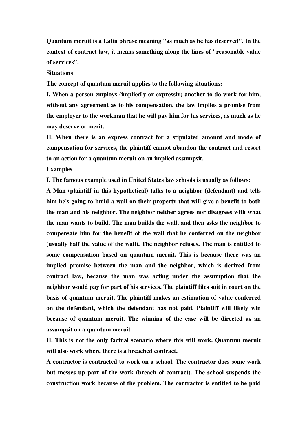**Quantum meruit is a Latin phrase meaning "as much as he has deserved". In the context of contract law, it means something along the lines of "reasonable value of services".** 

## **Situations**

**The concept of quantum meruit applies to the following situations:** 

**I. When a person employs (impliedly or expressly) another to do work for him, without any agreement as to his compensation, the law implies a promise from the employer to the workman that he will pay him for his services, as much as he may deserve or merit.** 

**II. When there is an express contract for a stipulated amount and mode of compensation for services, the plaintiff cannot abandon the contract and resort to an action for a quantum meruit on an implied assumpsit.** 

#### **Examples**

**I. The famous example used in United States law schools is usually as follows:** 

**A Man (plaintiff in this hypothetical) talks to a neighbor (defendant) and tells him he's going to build a wall on their property that will give a benefit to both the man and his neighbor. The neighbor neither agrees nor disagrees with what the man wants to build. The man builds the wall, and then asks the neighbor to compensate him for the benefit of the wall that he conferred on the neighbor (usually half the value of the wall). The neighbor refuses. The man is entitled to some compensation based on quantum meruit. This is because there was an implied promise between the man and the neighbor, which is derived from contract law, because the man was acting under the assumption that the neighbor would pay for part of his services. The plaintiff files suit in court on the basis of quantum meruit. The plaintiff makes an estimation of value conferred on the defendant, which the defendant has not paid. Plaintiff will likely win because of quantum meruit. The winning of the case will be directed as an assumpsit on a quantum meruit.** 

**II. This is not the only factual scenario where this will work. Quantum meruit will also work where there is a breached contract.** 

**A contractor is contracted to work on a school. The contractor does some work but messes up part of the work (breach of contract). The school suspends the construction work because of the problem. The contractor is entitled to be paid**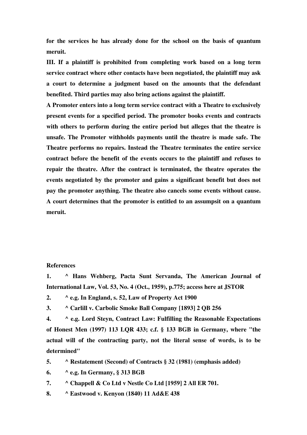**for the services he has already done for the school on the basis of quantum meruit.** 

**III. If a plaintiff is prohibited from completing work based on a long term service contract where other contacts have been negotiated, the plaintiff may ask a court to determine a judgment based on the amounts that the defendant benefited. Third parties may also bring actions against the plaintiff.** 

**A Promoter enters into a long term service contract with a Theatre to exclusively present events for a specified period. The promoter books events and contracts with others to perform during the entire period but alleges that the theatre is unsafe. The Promoter withholds payments until the theatre is made safe. The Theatre performs no repairs. Instead the Theatre terminates the entire service contract before the benefit of the events occurs to the plaintiff and refuses to repair the theatre. After the contract is terminated, the theatre operates the events negotiated by the promoter and gains a significant benefit but does not pay the promoter anything. The theatre also cancels some events without cause. A court determines that the promoter is entitled to an assumpsit on a quantum meruit.** 

## **References**

**1. ^ Hans Wehberg, Pacta Sunt Servanda, The American Journal of International Law, Vol. 53, No. 4 (Oct., 1959), p.775; access here at JSTOR** 

**2. ^ e.g. In England, s. 52, Law of Property Act 1900** 

**3. ^ Carlill v. Carbolic Smoke Ball Company [1893] 2 QB 256** 

**4. ^ e.g. Lord Steyn, Contract Law: Fulfilling the Reasonable Expectations of Honest Men (1997) 113 LQR 433; c.f. § 133 BGB in Germany, where "the actual will of the contracting party, not the literal sense of words, is to be determined"** 

**5. ^ Restatement (Second) of Contracts § 32 (1981) (emphasis added)** 

**6. ^ e.g. In Germany, § 313 BGB** 

**7. ^ Chappell & Co Ltd v Nestle Co Ltd [1959] 2 All ER 701.** 

**8. ^ Eastwood v. Kenyon (1840) 11 Ad&E 438**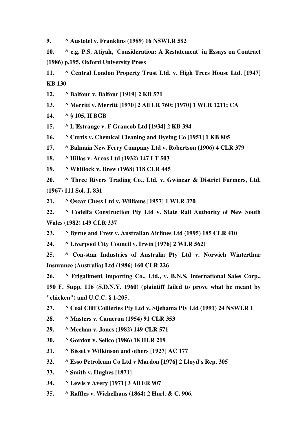**9. ^ Austotel v. Franklins (1989) 16 NSWLR 582** 

**10. ^ e.g. P.S. Atiyah, 'Consideration: A Restatement' in Essays on Contract (1986) p.195, Oxford University Press** 

**11. ^ Central London Property Trust Ltd. v. High Trees House Ltd. [1947] KB 130** 

**12. ^ Balfour v. Balfour [1919] 2 KB 571** 

**13. ^ Merritt v. Merritt [1970] 2 All ER 760; [1970] 1 WLR 1211; CA** 

**14. ^ § 105, II BGB** 

**15. ^ L'Estrange v. F Graucob Ltd [1934] 2 KB 394** 

**16. ^ Curtis v. Chemical Cleaning and Dyeing Co [1951] 1 KB 805** 

**17. ^ Balmain New Ferry Company Ltd v. Robertson (1906) 4 CLR 379** 

**18. ^ Hillas v. Arcos Ltd (1932) 147 LT 503** 

**19. ^ Whitlock v. Brew (1968) 118 CLR 445** 

**20. ^ Three Rivers Trading Co., Ltd. v. Gwinear & District Farmers, Ltd. (1967) 111 Sol. J. 831** 

**21. ^ Oscar Chess Ltd v. Williams [1957] 1 WLR 370** 

**22. ^ Codelfa Construction Pty Ltd v. State Rail Authority of New South Wales (1982) 149 CLR 337** 

**23. ^ Byrne and Frew v. Australian Airlines Ltd (1995) 185 CLR 410** 

**24. ^ Liverpool City Council v. Irwin [1976] 2 WLR 562)** 

**25. ^ Con-stan Industries of Australia Pty Ltd v. Norwich Winterthur Insurance (Australia) Ltd (1986) 160 CLR 226** 

**26. ^ Frigaliment Importing Co., Ltd., v. B.N.S. International Sales Corp., 190 F. Supp. 116 (S.D.N.Y. 1960) (plaintiff failed to prove what he meant by "chicken") and U.C.C. § 1-205.** 

**27. ^ Coal Cliff Collieries Pty Ltd v. Sijehama Pty Ltd (1991) 24 NSWLR 1** 

**28. ^ Masters v. Cameron (1954) 91 CLR 353** 

**29. ^ Meehan v. Jones (1982) 149 CLR 571** 

**30. ^ Gordon v. Selico (1986) 18 HLR 219** 

**31. ^ Bisset v Wilkinson and others [1927] AC 177** 

**32. ^ Esso Petroleum Co Ltd v Mardon [1976] 2 Lloyd's Rep. 305** 

**33. ^ Smith v. Hughes [1871]** 

**34. ^ Lewis v Avery [1971] 3 All ER 907** 

**35. ^ Raffles v. Wichelhaus (1864) 2 Hurl. & C. 906.**